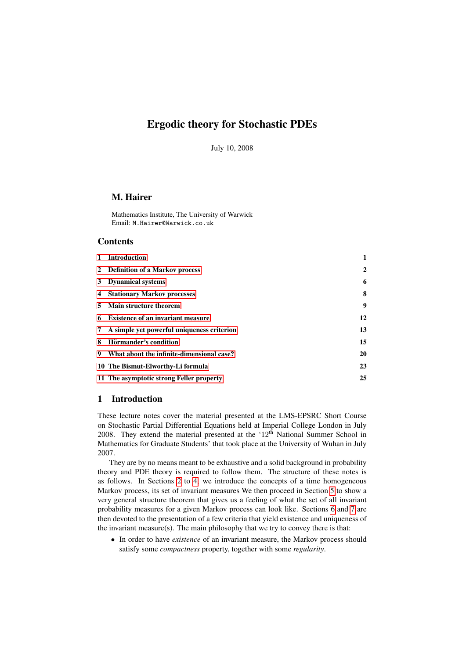# Ergodic theory for Stochastic PDEs

July 10, 2008

# M. Hairer

Mathematics Institute, The University of Warwick Email: M.Hairer@Warwick.co.uk

### **Contents**

|    | 1 Introduction                               | 1              |
|----|----------------------------------------------|----------------|
|    | 2 Definition of a Markov process             | $\overline{2}$ |
|    | 3 Dynamical systems                          | 6              |
|    | 4 Stationary Markov processes                | 8              |
|    | 5 Main structure theorem                     | 9              |
|    | 6 Existence of an invariant measure          | 12             |
|    | 7 A simple yet powerful uniqueness criterion | 13             |
| 8  | Hörmander's condition                        | 15             |
| 9. | What about the infinite-dimensional case?    | 20             |
|    | 10 The Bismut-Elworthy-Li formula            | 23             |
|    | 11 The asymptotic strong Feller property     | 25             |

## <span id="page-0-0"></span>1 Introduction

These lecture notes cover the material presented at the LMS-EPSRC Short Course on Stochastic Partial Differential Equations held at Imperial College London in July 2008. They extend the material presented at the  $12<sup>th</sup>$  National Summer School in Mathematics for Graduate Students' that took place at the University of Wuhan in July 2007.

They are by no means meant to be exhaustive and a solid background in probability theory and PDE theory is required to follow them. The structure of these notes is as follows. In Sections [2](#page-1-0) to [4,](#page-7-0) we introduce the concepts of a time homogeneous Markov process, its set of invariant measures We then proceed in Section [5](#page-8-0) to show a very general structure theorem that gives us a feeling of what the set of all invariant probability measures for a given Markov process can look like. Sections [6](#page-11-0) and [7](#page-12-0) are then devoted to the presentation of a few criteria that yield existence and uniqueness of the invariant measure $(s)$ . The main philosophy that we try to convey there is that:

- In order to have *existence* of an invariant measure, the Markov process should satisfy some *compactness* property, together with some *regularity*.
-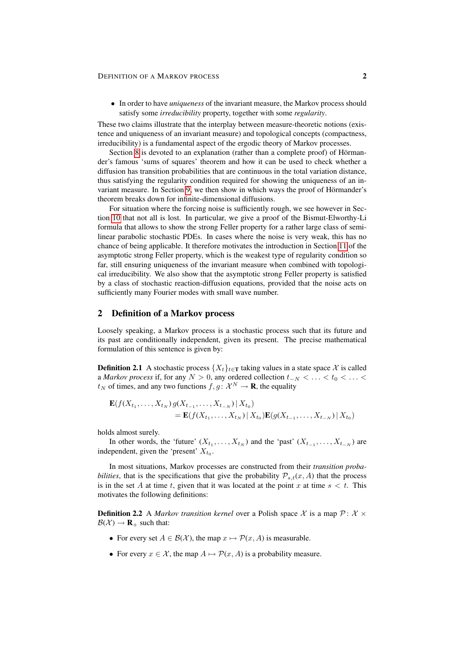#### DEFINITION OF A MARKOV PROCESS 2

• In order to have *uniqueness* of the invariant measure, the Markov process should satisfy some *irreducibility* property, together with some *regularity*.

These two claims illustrate that the interplay between measure-theoretic notions (existence and uniqueness of an invariant measure) and topological concepts (compactness, irreducibility) is a fundamental aspect of the ergodic theory of Markov processes.

Section [8](#page-14-0) is devoted to an explanation (rather than a complete proof) of Hörmander's famous 'sums of squares' theorem and how it can be used to check whether a diffusion has transition probabilities that are continuous in the total variation distance, thus satisfying the regularity condition required for showing the uniqueness of an in-variant measure. In Section [9,](#page-19-0) we then show in which ways the proof of Hörmander's theorem breaks down for infinite-dimensional diffusions.

For situation where the forcing noise is sufficiently rough, we see however in Section [10](#page-22-0) that not all is lost. In particular, we give a proof of the Bismut-Elworthy-Li formula that allows to show the strong Feller property for a rather large class of semilinear parabolic stochastic PDEs. In cases where the noise is very weak, this has no chance of being applicable. It therefore motivates the introduction in Section [11](#page-24-0) of the asymptotic strong Feller property, which is the weakest type of regularity condition so far, still ensuring uniqueness of the invariant measure when combined with topological irreducibility. We also show that the asymptotic strong Feller property is satisfied by a class of stochastic reaction-diffusion equations, provided that the noise acts on sufficiently many Fourier modes with small wave number.

#### <span id="page-1-0"></span>2 Definition of a Markov process

Loosely speaking, a Markov process is a stochastic process such that its future and its past are conditionally independent, given its present. The precise mathematical formulation of this sentence is given by:

<span id="page-1-1"></span>**Definition 2.1** A stochastic process  $\{X_t\}_{t\in\mathbb{T}}$  taking values in a state space X is called a *Markov process* if, for any  $N > 0$ , any ordered collection  $t_{-N} < \ldots < t_0 < \ldots <$  $t_N$  of times, and any two functions  $f, g \colon \mathcal{X}^N \to \mathbf{R}$ , the equality

$$
\mathbf{E}(f(X_{t_1},...,X_{t_N})g(X_{t_{-1}},...,X_{t_{-N}})|X_{t_0})
$$
  
=  $\mathbf{E}(f(X_{t_1},...,X_{t_N})|X_{t_0})\mathbf{E}(g(X_{t_{-1}},...,X_{t_{-N}})|X_{t_0})$ 

holds almost surely.

In other words, the 'future'  $(X_{t_1},...,X_{t_N})$  and the 'past'  $(X_{t_{-1}},...,X_{t_N})$  are independent, given the 'present'  $X_{t_0}$ .

In most situations, Markov processes are constructed from their *transition probabilities*, that is the specifications that give the probability  $P_{s,t}(x, A)$  that the process is in the set A at time t, given that it was located at the point x at time  $s < t$ . This motivates the following definitions:

**Definition 2.2** A *Markov transition kernel* over a Polish space X is a map  $P: X \times$  $\mathcal{B}(\mathcal{X}) \rightarrow \mathbf{R}_{+}$  such that:

- For every set  $A \in \mathcal{B}(\mathcal{X})$ , the map  $x \mapsto \mathcal{P}(x, A)$  is measurable.
- For every  $x \in \mathcal{X}$ , the map  $A \mapsto \mathcal{P}(x, A)$  is a probability measure.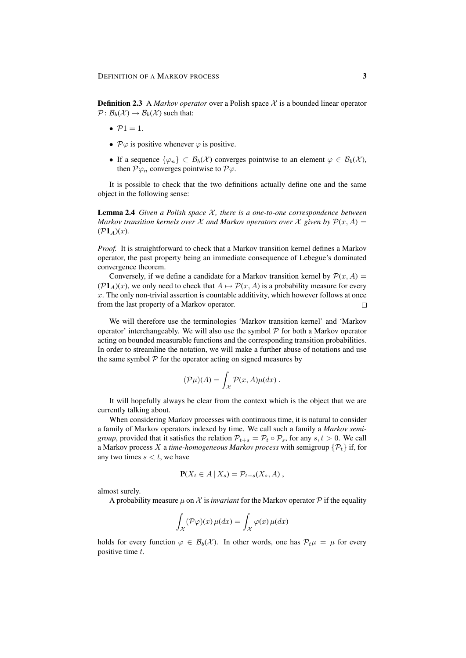**Definition 2.3** A *Markov operator* over a Polish space X is a bounded linear operator  $\mathcal{P}: \mathcal{B}_b(\mathcal{X}) \to \mathcal{B}_b(\mathcal{X})$  such that:

- $\bullet$   $\mathcal{P}1 = 1.$
- $\mathcal{P}\varphi$  is positive whenever  $\varphi$  is positive.
- If a sequence  $\{\varphi_n\} \subset \mathcal{B}_b(\mathcal{X})$  converges pointwise to an element  $\varphi \in \mathcal{B}_b(\mathcal{X})$ , then  $\mathcal{P}\varphi_n$  converges pointwise to  $\mathcal{P}\varphi$ .

It is possible to check that the two definitions actually define one and the same object in the following sense:

Lemma 2.4 *Given a Polish space* X *, there is a one-to-one correspondence between Markov transition kernels over* X *and Markov operators over* X *given by*  $P(x, A) =$  $(\mathcal{P}1_A)(x)$ .

*Proof.* It is straightforward to check that a Markov transition kernel defines a Markov operator, the past property being an immediate consequence of Lebegue's dominated convergence theorem.

Conversely, if we define a candidate for a Markov transition kernel by  $\mathcal{P}(x, A) =$  $(\mathcal{P}1_A)(x)$ , we only need to check that  $A \mapsto \mathcal{P}(x, A)$  is a probability measure for every  $x$ . The only non-trivial assertion is countable additivity, which however follows at once from the last property of a Markov operator.  $\Box$ 

We will therefore use the terminologies 'Markov transition kernel' and 'Markov operator' interchangeably. We will also use the symbol  $P$  for both a Markov operator acting on bounded measurable functions and the corresponding transition probabilities. In order to streamline the notation, we will make a further abuse of notations and use the same symbol  $P$  for the operator acting on signed measures by

$$
(\mathcal{P}\mu)(A) = \int_{\mathcal{X}} \mathcal{P}(x, A)\mu(dx) .
$$

It will hopefully always be clear from the context which is the object that we are currently talking about.

When considering Markov processes with continuous time, it is natural to consider a family of Markov operators indexed by time. We call such a family a *Markov semigroup*, provided that it satisfies the relation  $P_{t+s} = P_t \circ P_s$ , for any  $s, t > 0$ . We call a Markov process X a *time-homogeneous Markov process* with semigroup  $\{P_t\}$  if, for any two times  $s < t$ , we have

$$
\mathbf{P}(X_t \in A \,|\, X_s) = \mathcal{P}_{t-s}(X_s, A) \,,
$$

almost surely.

A probability measure  $\mu$  on X is *invariant* for the Markov operator P if the equality

$$
\int_{\mathcal{X}} (\mathcal{P}\varphi)(x) \,\mu(dx) = \int_{\mathcal{X}} \varphi(x) \,\mu(dx)
$$

holds for every function  $\varphi \in \mathcal{B}_b(\mathcal{X})$ . In other words, one has  $\mathcal{P}_t \mu = \mu$  for every positive time t.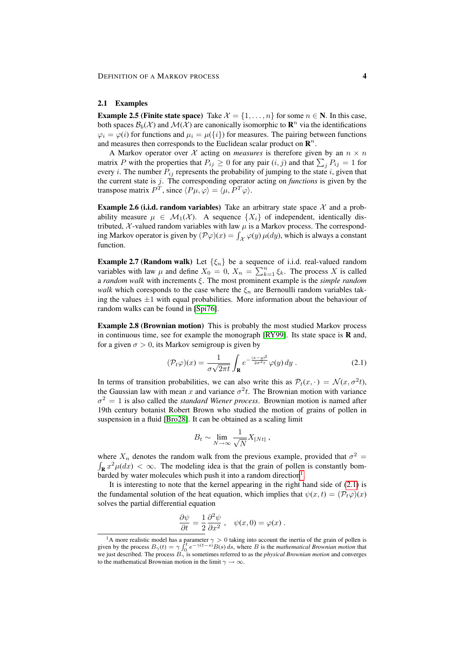#### 2.1 Examples

**Example 2.5 (Finite state space)** Take  $\mathcal{X} = \{1, \ldots, n\}$  for some  $n \in \mathbb{N}$ . In this case, both spaces  $\mathcal{B}_b(\mathcal{X})$  and  $\mathcal{M}(\mathcal{X})$  are canonically isomorphic to  $\mathbf{R}^n$  via the identifications  $\varphi_i = \varphi(i)$  for functions and  $\mu_i = \mu({i})$  for measures. The pairing between functions and measures then corresponds to the Euclidean scalar product on  $\mathbb{R}^n$ .

A Markov operator over  $X$  acting on *measures* is therefore given by an  $n \times n$ matrix P with the properties that  $P_{ij} \ge 0$  for any pair  $(i, j)$  and that  $\sum_j P_{ij} = 1$  for every *i*. The number  $P_{ij}$  represents the probability of jumping to the state *i*, given that the current state is j. The corresponding operator acting on *functions* is given by the transpose matrix  $P^T$ , since  $\langle P\mu, \varphi \rangle = \langle \mu, P^T \varphi \rangle$ .

**Example 2.6 (i.i.d. random variables)** Take an arbitrary state space  $\mathcal{X}$  and a probability measure  $\mu \in \mathcal{M}_1(\mathcal{X})$ . A sequence  $\{X_i\}$  of independent, identically distributed,  $\chi$ -valued random variables with law  $\mu$  is a Markov process. The corresponding Markov operator is given by  $(\mathcal{P}\varphi)(x) = \int_{\mathcal{X}} \varphi(y) \mu(dy)$ , which is always a constant function.

**Example 2.7 (Random walk)** Let  $\{\xi_n\}$  be a sequence of i.i.d. real-valued random variables with law  $\mu$  and define  $X_0 = 0$ ,  $X_n = \sum_{k=1}^n \xi_k$ . The process X is called a *random walk* with increments ξ. The most prominent example is the *simple random walk* which coresponds to the case where the  $\xi_n$  are Bernoulli random variables taking the values  $\pm 1$  with equal probabilities. More information about the behaviour of random walks can be found in [\[Spi76\]](#page-29-0).

Example 2.8 (Brownian motion) This is probably the most studied Markov process in continuous time, see for example the monograph  $[RY99]$ . Its state space is **R** and, for a given  $\sigma > 0$ , its Markov semigroup is given by

$$
(\mathcal{P}_t\varphi)(x) = \frac{1}{\sigma\sqrt{2\pi t}}\int_{\mathbf{R}} e^{-\frac{(x-y)^2}{2\sigma^2 t}}\varphi(y) \,dy\,. \tag{2.1}
$$

In terms of transition probabilities, we can also write this as  $P_t(x, \cdot) = \mathcal{N}(x, \sigma^2 t)$ , the Gaussian law with mean x and variance  $\sigma^2 t$ . The Brownian motion with variance  $\sigma^2 = 1$  is also called the *standard Wiener process*. Brownian motion is named after 19th century botanist Robert Brown who studied the motion of grains of pollen in suspension in a fluid [\[Bro28\]](#page-28-0). It can be obtained as a scaling limit

<span id="page-3-1"></span>
$$
B_t \sim \lim_{N \to \infty} \frac{1}{\sqrt{N}} X_{[Nt]},
$$

where  $X_n$  denotes the random walk from the previous example, provided that  $\sigma^2 =$  $\int_{\mathbf{R}} x^2 \mu(dx) < \infty$ . The modeling idea is that the grain of pollen is constantly bom-barded by water molecules which push it into a random direction<sup>[1](#page-3-0)</sup>.

It is interesting to note that the kernel appearing in the right hand side of  $(2.1)$  is the fundamental solution of the heat equation, which implies that  $\psi(x, t) = (\mathcal{P}_t\varphi)(x)$ solves the partial differential equation

$$
\frac{\partial \psi}{\partial t} = \frac{1}{2} \frac{\partial^2 \psi}{\partial x^2} , \quad \psi(x,0) = \varphi(x) .
$$

<span id="page-3-0"></span><sup>&</sup>lt;sup>1</sup>A more realistic model has a parameter  $\gamma > 0$  taking into account the inertia of the grain of pollen is given by the process  $B_{\gamma}(t) = \gamma \int_0^t e^{-\gamma(t-s)} B(s) ds$ , where B is the *mathematical Brownian motion* that we just described. The process Bγ is sometimes referred to as the *physical Brownian motion* and converges to the mathematical Brownian motion in the limit  $\gamma \to \infty$ .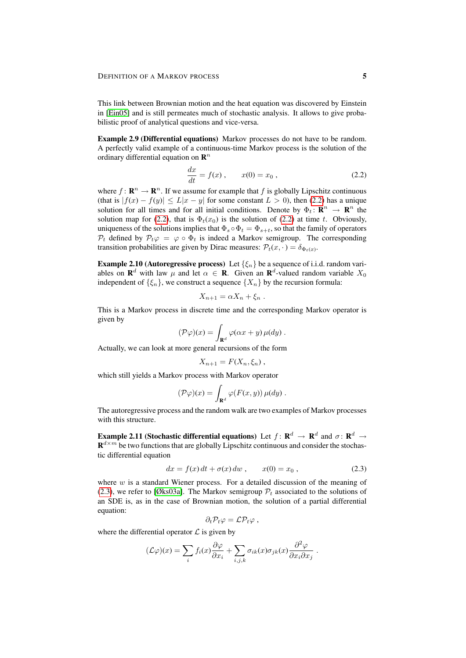This link between Brownian motion and the heat equation was discovered by Einstein in [\[Ein05\]](#page-28-1) and is still permeates much of stochastic analysis. It allows to give probabilistic proof of analytical questions and vice-versa.

Example 2.9 (Differential equations) Markov processes do not have to be random. A perfectly valid example of a continuous-time Markov process is the solution of the ordinary differential equation on  $\mathbf{R}^n$ 

<span id="page-4-0"></span>
$$
\frac{dx}{dt} = f(x) , \t x(0) = x_0 , \t (2.2)
$$

where  $f: \mathbf{R}^n \to \mathbf{R}^n$ . If we assume for example that f is globally Lipschitz continuous (that is  $|f(x) - f(y)| \le L|x - y|$  for some constant  $L > 0$ ), then [\(2.2\)](#page-4-0) has a unique solution for all times and for all initial conditions. Denote by  $\Phi_t: \mathbb{R}^n \to \mathbb{R}^n$  the solution map for [\(2.2\)](#page-4-0), that is  $\Phi_t(x_0)$  is the solution of (2.2) at time t. Obviously, uniqueness of the solutions implies that  $\Phi_s \circ \Phi_t = \Phi_{s+t}$ , so that the family of operators  $P_t$  defined by  $P_t \varphi = \varphi \circ \Phi_t$  is indeed a Markov semigroup. The corresponding transition probabilities are given by Dirac measures:  $\mathcal{P}_t(x, \cdot) = \delta_{\Phi_t(x)}$ .

**Example 2.10 (Autoregressive process)** Let  $\{\xi_n\}$  be a sequence of i.i.d. random variables on  $\mathbf{R}^d$  with law  $\mu$  and let  $\alpha \in \mathbf{R}$ . Given an  $\mathbf{R}^d$ -valued random variable  $X_0$ independent of  $\{\xi_n\}$ , we construct a sequence  $\{X_n\}$  by the recursion formula:

$$
X_{n+1} = \alpha X_n + \xi_n.
$$

This is a Markov process in discrete time and the corresponding Markov operator is given by

$$
(\mathcal{P}\varphi)(x) = \int_{\mathbf{R}^d} \varphi(\alpha x + y) \,\mu(dy) \; .
$$

Actually, we can look at more general recursions of the form

$$
X_{n+1} = F(X_n, \xi_n),
$$

which still yields a Markov process with Markov operator

$$
(\mathcal{P}\varphi)(x) = \int_{\mathbf{R}^d} \varphi(F(x,y)) \,\mu(dy) \,.
$$

The autoregressive process and the random walk are two examples of Markov processes with this structure.

Example 2.11 (Stochastic differential equations) Let  $f\colon \mathbf{R}^d\to \mathbf{R}^d$  and  $\sigma\colon \mathbf{R}^d\to$  $\mathbf{R}^{d \times m}$  be two functions that are globally Lipschitz continuous and consider the stochastic differential equation

$$
dx = f(x) dt + \sigma(x) dw , \t x(0) = x_0 , \t (2.3)
$$

where  $w$  is a standard Wiener process. For a detailed discussion of the meaning of [\(2.3\)](#page-4-1), we refer to [\[Øks03a\]](#page-29-2). The Markov semigroup  $P_t$  associated to the solutions of an SDE is, as in the case of Brownian motion, the solution of a partial differential equation:

<span id="page-4-1"></span>
$$
\partial_t \mathcal{P}_t \varphi = \mathcal{L} \mathcal{P}_t \varphi ,
$$

where the differential operator  $\mathcal L$  is given by

$$
(\mathcal{L}\varphi)(x) = \sum_i f_i(x) \frac{\partial \varphi}{\partial x_i} + \sum_{i,j,k} \sigma_{ik}(x) \sigma_{jk}(x) \frac{\partial^2 \varphi}{\partial x_i \partial x_j}.
$$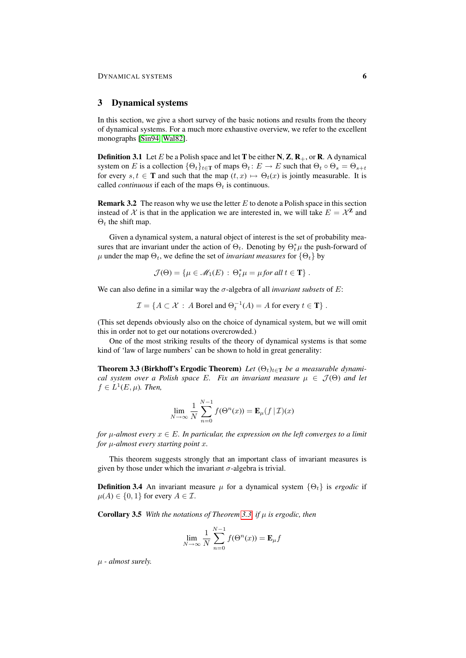### <span id="page-5-0"></span>3 Dynamical systems

In this section, we give a short survey of the basic notions and results from the theory of dynamical systems. For a much more exhaustive overview, we refer to the excellent monographs [\[Sin94,](#page-29-3) [Wal82\]](#page-29-4).

**Definition 3.1** Let E be a Polish space and let T be either N, Z,  $\mathbf{R}_{+}$ , or R. A dynamical system on E is a collection  $\{\Theta_t\}_{t\in\mathbb{T}}$  of maps  $\Theta_t : E \to E$  such that  $\Theta_t \circ \Theta_s = \Theta_{s+t}$ for every  $s, t \in \mathbf{T}$  and such that the map  $(t, x) \mapsto \Theta_t(x)$  is jointly measurable. It is called *continuous* if each of the maps  $\Theta_t$  is continuous.

**Remark 3.2** The reason why we use the letter  $E$  to denote a Polish space in this section instead of X is that in the application we are interested in, we will take  $E = \mathcal{X}^{\mathbf{Z}}$  and  $\Theta_t$  the shift map.

Given a dynamical system, a natural object of interest is the set of probability measures that are invariant under the action of  $\Theta_t$ . Denoting by  $\Theta_t^* \mu$  the push-forward of  $\mu$  under the map  $\Theta_t$ , we define the set of *invariant measures* for  $\{\Theta_t\}$  by

$$
\mathcal{J}(\Theta) = \{ \mu \in \mathcal{M}_1(E) : \Theta_t^* \mu = \mu \text{ for all } t \in \mathbf{T} \} .
$$

We can also define in a similar way the  $\sigma$ -algebra of all *invariant subsets* of E:

$$
\mathcal{I} = \{ A \subset \mathcal{X} : A \text{ Borel and } \Theta_t^{-1}(A) = A \text{ for every } t \in \mathbf{T} \}.
$$

(This set depends obviously also on the choice of dynamical system, but we will omit this in order not to get our notations overcrowded.)

One of the most striking results of the theory of dynamical systems is that some kind of 'law of large numbers' can be shown to hold in great generality:

<span id="page-5-1"></span>**Theorem 3.3 (Birkhoff's Ergodic Theorem)** Let  $(\Theta_t)_{t \in \mathbb{T}}$  be a measurable dynami*cal system over a Polish space* E. Fix an invariant measure  $\mu \in \mathcal{J}(\Theta)$  and let  $f \in L^1(E, \mu)$ . Then,

$$
\lim_{N \to \infty} \frac{1}{N} \sum_{n=0}^{N-1} f(\Theta^n(x)) = \mathbf{E}_{\mu}(f | \mathcal{I})(x)
$$

*for*  $\mu$ -almost every  $x \in E$ . In particular, the expression on the left converges to a limit *for* µ*-almost every starting point* x*.*

This theorem suggests strongly that an important class of invariant measures is given by those under which the invariant  $\sigma$ -algebra is trivial.

**Definition 3.4** An invariant measure  $\mu$  for a dynamical system  $\{\Theta_t\}$  is *ergodic* if  $\mu(A) \in \{0, 1\}$  for every  $A \in \mathcal{I}$ .

<span id="page-5-2"></span>Corollary 3.5 *With the notations of Theorem [3.3,](#page-5-1) if* µ *is ergodic, then*

$$
\lim_{N \to \infty} \frac{1}{N} \sum_{n=0}^{N-1} f(\Theta^n(x)) = \mathbf{E}_{\mu} f
$$

µ *- almost surely.*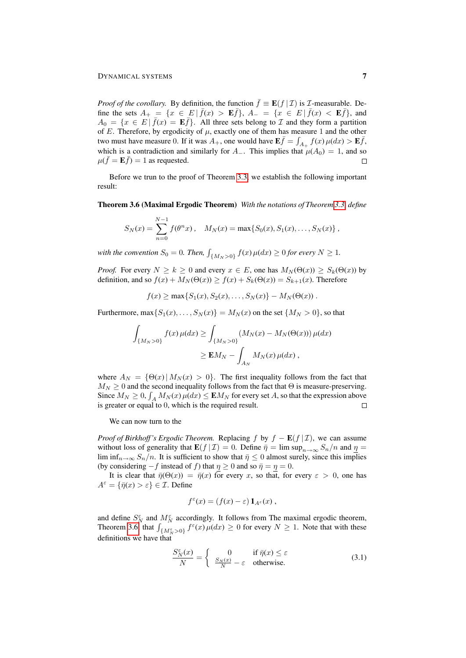*Proof of the corollary.* By definition, the function  $\bar{f} \equiv \mathbf{E}(f | \mathcal{I})$  is *T*-measurable. Define the sets  $A_+ = \{x \in E \mid \bar{f}(x) > \mathbf{E}\bar{f}\}, A_- = \{x \in E \mid \bar{f}(x) < \mathbf{E}\bar{f}\},\$ and  $A_0 = \{x \in E \mid \bar{f}(x) = \mathbf{E}\bar{f}\}\.$  All three sets belong to  $\mathcal I$  and they form a partition of E. Therefore, by ergodicity of  $\mu$ , exactly one of them has measure 1 and the other two must have measure 0. If it was  $A_+$ , one would have  $\mathbf{E} \bar{f} = \int_{A_+} f(x) \mu(dx) > \mathbf{E} \bar{f}$ , which is a contradiction and similarly for A\_. This implies that  $\mu(A_0) = 1$ , and so  $\mu(\bar{f} = \mathbf{E}\bar{f}) = 1$  as requested.  $\Box$ 

Before we trun to the proof of Theorem [3.3,](#page-5-1) we establish the following important result:

<span id="page-6-0"></span>Theorem 3.6 (Maximal Ergodic Theorem) *With the notations of Theorem [3.3,](#page-5-1) define*

$$
S_N(x) = \sum_{n=0}^{N-1} f(\theta^n x), \quad M_N(x) = \max\{S_0(x), S_1(x), \dots, S_N(x)\},
$$

with the convention  $S_0 = 0$ . Then,  $\int_{\{M_N > 0\}} f(x) \,\mu(dx) \ge 0$  for every  $N \ge 1$ .

*Proof.* For every  $N \ge k \ge 0$  and every  $x \in E$ , one has  $M_N(\Theta(x)) \ge S_k(\Theta(x))$  by definition, and so  $f(x) + M_N(\Theta(x)) > f(x) + S_k(\Theta(x)) = S_{k+1}(x)$ . Therefore

 $f(x) > \max\{S_1(x), S_2(x), \ldots, S_N(x)\} - M_N(\Theta(x)).$ 

Furthermore,  $\max\{S_1(x),\ldots,S_N(x)\} = M_N(x)$  on the set  $\{M_N > 0\}$ , so that

$$
\int_{\{M_N>0\}} f(x)\,\mu(dx) \ge \int_{\{M_N>0\}} (M_N(x) - M_N(\Theta(x)))\,\mu(dx)
$$
  

$$
\ge \mathbf{E}M_N - \int_{A_N} M_N(x)\,\mu(dx) ,
$$

where  $A_N = {\Theta(x) | M_N(x) > 0}.$  The first inequality follows from the fact that  $M_N \geq 0$  and the second inequality follows from the fact that  $\Theta$  is measure-preserving. Since  $M_N \ge 0$ ,  $\int_A M_N(x) \mu(dx) \le \mathbf{E} M_N$  for every set A, so that the expression above is greater or equal to 0, which is the required result.

We can now turn to the

*Proof of Birkhoff's Ergodic Theorem.* Replacing f by  $f - \mathbf{E}(f | \mathcal{I})$ , we can assume without loss of generality that  $\mathbf{E}(f | \mathcal{I}) = 0$ . Define  $\bar{\eta} = \limsup_{n \to \infty} S_n/n$  and  $\eta =$ lim inf $n \to \infty$   $S_n/n$ . It is sufficient to show that  $\bar{\eta} \leq 0$  almost surely, since this implies (by considering  $-f$  instead of f) that  $\eta \ge 0$  and so  $\bar{\eta} = \eta = 0$ .

It is clear that  $\bar{\eta}(\Theta(x)) = \bar{\eta}(x)$  for every x, so that, for every  $\varepsilon > 0$ , one has  $A^{\varepsilon} = {\bar{\eta}}(x) > \varepsilon$   $\in \mathcal{I}$ . Define

<span id="page-6-1"></span>
$$
f^{\varepsilon}(x) = (f(x) - \varepsilon) \mathbf{1}_{A^{\varepsilon}}(x) ,
$$

and define  $S_N^{\varepsilon}$  and  $M_N^{\varepsilon}$  accordingly. It follows from The maximal ergodic theorem, Theorem [3.6,](#page-6-0) that  $\int_{\{M_N^{\varepsilon} > 0\}} f^{\varepsilon}(x) \mu(dx) \ge 0$  for every  $N \ge 1$ . Note that with these definitions we have that

$$
\frac{S_N^{\varepsilon}(x)}{N} = \begin{cases} 0 & \text{if } \bar{\eta}(x) \le \varepsilon \\ \frac{S_N(x)}{N} - \varepsilon & \text{otherwise.} \end{cases}
$$
(3.1)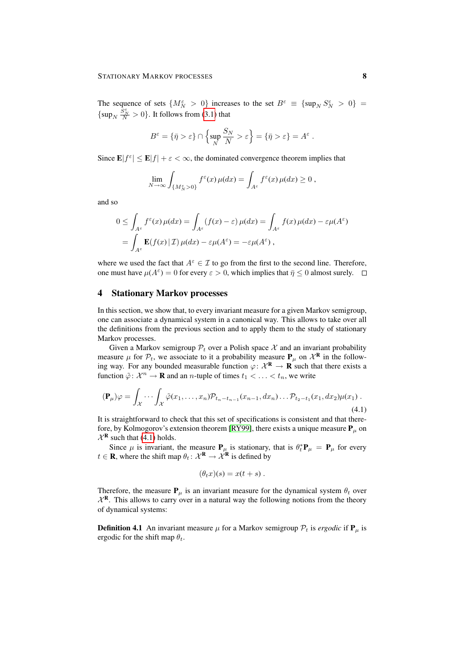The sequence of sets  $\{M_N^{\varepsilon} > 0\}$  increases to the set  $B^{\varepsilon} \equiv \{\sup_N S_N^{\varepsilon} > 0\}$  $\{\sup_N \frac{S_N^{\epsilon}}{N} > 0\}$ . It follows from [\(3.1\)](#page-6-1) that

$$
B^{\varepsilon} = \{ \bar{\eta} > \varepsilon \} \cap \left\{ \sup_{N} \frac{S_{N}}{N} > \varepsilon \right\} = \{ \bar{\eta} > \varepsilon \} = A^{\varepsilon} .
$$

Since  $\mathbf{E}|f^{\varepsilon}| \leq \mathbf{E}|f| + \varepsilon < \infty$ , the dominated convergence theorem implies that

$$
\lim_{N \to \infty} \int_{\{M_N^{\varepsilon} > 0\}} f^{\varepsilon}(x) \,\mu(dx) = \int_{A^{\varepsilon}} f^{\varepsilon}(x) \,\mu(dx) \ge 0,
$$

and so

$$
0 \leq \int_{A^{\varepsilon}} f^{\varepsilon}(x) \,\mu(dx) = \int_{A^{\varepsilon}} (f(x) - \varepsilon) \,\mu(dx) = \int_{A^{\varepsilon}} f(x) \,\mu(dx) - \varepsilon \mu(A^{\varepsilon})
$$

$$
= \int_{A^{\varepsilon}} \mathbf{E}(f(x) \,|\, \mathcal{I}) \,\mu(dx) - \varepsilon \mu(A^{\varepsilon}) = -\varepsilon \mu(A^{\varepsilon}) \,,
$$

where we used the fact that  $A^{\varepsilon} \in \mathcal{I}$  to go from the first to the second line. Therefore, one must have  $\mu(A^{\varepsilon}) = 0$  for every  $\varepsilon > 0$ , which implies that  $\bar{\eta} \le 0$  almost surely.

### <span id="page-7-0"></span>4 Stationary Markov processes

In this section, we show that, to every invariant measure for a given Markov semigroup, one can associate a dynamical system in a canonical way. This allows to take over all the definitions from the previous section and to apply them to the study of stationary Markov processes.

Given a Markov semigroup  $P_t$  over a Polish space X and an invariant probability measure  $\mu$  for  $\mathcal{P}_t$ , we associate to it a probability measure  $\mathbf{P}_{\mu}$  on  $\mathcal{X}^{\mathbf{R}}$  in the following way. For any bounded measurable function  $\varphi \colon \mathcal{X}^R \to \mathbf{R}$  such that there exists a function  $\tilde{\varphi}$ :  $\mathcal{X}^n \to \mathbf{R}$  and an *n*-tuple of times  $t_1 < \ldots < t_n$ , we write

$$
(\mathbf{P}_{\mu})\varphi = \int_{\mathcal{X}} \cdots \int_{\mathcal{X}} \tilde{\varphi}(x_1,\ldots,x_n) \mathcal{P}_{t_n-t_{n-1}}(x_{n-1},dx_n) \ldots \mathcal{P}_{t_2-t_1}(x_1,dx_2) \mu(x_1) \; .
$$
\n
$$
(4.1)
$$

It is straightforward to check that this set of specifications is consistent and that there-fore, by Kolmogorov's extension theorem [\[RY99\]](#page-29-1), there exists a unique measure  $P_\mu$  on  $\mathcal{X}^{\mathbf{R}}$  such that [\(4.1\)](#page-7-1) holds.

Since  $\mu$  is invariant, the measure  $P_{\mu}$  is stationary, that is  $\theta_t^* P_{\mu} = P_{\mu}$  for every  $t \in \mathbf{R}$ , where the shift map  $\theta_t : \mathcal{X}^{\mathbf{R}} \to \mathcal{X}^{\mathbf{R}}$  is defined by

<span id="page-7-1"></span>
$$
(\theta_t x)(s) = x(t+s) .
$$

Therefore, the measure  $P_{\mu}$  is an invariant measure for the dynamical system  $\theta_t$  over  $\mathcal{X}^R$ . This allows to carry over in a natural way the following notions from the theory of dynamical systems:

**Definition 4.1** An invariant measure  $\mu$  for a Markov semigroup  $\mathcal{P}_t$  is *ergodic* if  $\mathbf{P}_\mu$  is ergodic for the shift map  $\theta_t$ .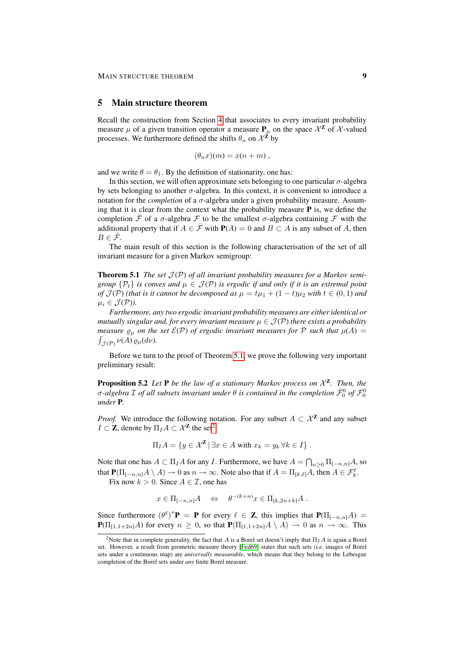#### <span id="page-8-0"></span>5 Main structure theorem

Recall the construction from Section [4](#page-7-0) that associates to every invariant probability measure  $\mu$  of a given transition operator a measure  $P_{\mu}$  on the space  $\mathcal{X}^{\mathbf{Z}}$  of  $\mathcal{X}$ -valued processes. We furthermore defined the shifts  $\theta_n$  on  $\mathcal{X}^{\mathbf{Z}}$  by

$$
(\theta_n x)(m) = x(n+m),
$$

and we write  $\theta = \theta_1$ . By the definition of stationarity, one has:

In this section, we will often approximate sets belonging to one particular  $\sigma$ -algebra by sets belonging to another  $\sigma$ -algebra. In this context, it is convenient to introduce a notation for the *completion* of a σ-algebra under a given probability measure. Assuming that it is clear from the context what the probability measure  $P$  is, we define the completion F of a  $\sigma$ -algebra F to be the smallest  $\sigma$ -algebra containing F with the additional property that if  $A \in \overline{\mathcal{F}}$  with  $P(A) = 0$  and  $B \subset A$  is any subset of A, then  $B \in \overline{\mathcal{F}}$ .

The main result of this section is the following characterisation of the set of all invariant measure for a given Markov semigroup:

<span id="page-8-1"></span>**Theorem 5.1** *The set*  $\mathcal{J}(\mathcal{P})$  *of all invariant probability measures for a Markov semigroup*  $\{\mathcal{P}_t\}$  *is convex and*  $\mu \in \mathcal{J}(\mathcal{P})$  *is ergodic if and only if it is an extremal point of*  $\mathcal{J}(\mathcal{P})$  *(that is it cannot be decomposed as*  $\mu = t\mu_1 + (1-t)\mu_2$  *with*  $t \in (0,1)$  *and*  $\mu_i \in \mathcal{J}(\mathcal{P})$ ).

*Furthermore, any two ergodic invariant probability measures are either identical or mutually singular and, for every invariant measure*  $\mu \in \mathcal{J}(\mathcal{P})$  *there exists a probability measure*  $\rho_{\mu}$  *on the set*  $\mathcal{E}(\mathcal{P})$  *of ergodic invariant measures for*  $\mathcal{P}$  *such that*  $\mu(A)$  =  $\int_{\mathcal{J}(\mathcal{P})} \nu(A) \varrho_{\mu}(d\nu).$ 

Before we turn to the proof of Theorem [5.1,](#page-8-1) we prove the following very important preliminary result:

<span id="page-8-3"></span>**Proposition 5.2** Let **P** be the law of a stationary Markov process on  $\mathcal{X}^{\mathbf{Z}}$ . Then, the  $\sigma$ -algebra  ${\cal I}$  of all subsets invariant under  $\theta$  is contained in the completion  $\bar{\cal F}^0_0$  of  ${\cal F}^0_0$ *under* P*.*

*Proof.* We introduce the following notation. For any subset  $A \subset \mathcal{X}^{\mathbb{Z}}$  and any subset  $I \subset \mathbb{Z}$ , denote by  $\Pi_I A \subset \mathcal{X}^{\mathbb{Z}}$  the set<sup>[2](#page-8-2)</sup>

$$
\Pi_I A = \{ y \in \mathcal{X}^{\mathbf{Z}} \mid \exists x \in A \text{ with } x_k = y_k \forall k \in I \}.
$$

Note that one has  $A \subset \Pi_I A$  for any I. Furthermore, we have  $A = \bigcap_{n \geq 0} \Pi_{[-n,n]} A$ , so that  $\mathbf{P}(\Pi_{[-n,n]}A \setminus A) \to 0$  as  $n \to \infty$ . Note also that if  $A = \Pi_{[k,\ell]}A$ , then  $A \in \mathcal{F}_k^{\ell}$ .

Fix now  $k > 0$ . Since  $A \in \mathcal{I}$ , one has

$$
x \in \Pi_{[-n,n]}A \quad \Leftrightarrow \quad \theta^{-(k+n)}x \in \Pi_{[k,2n+k]}A .
$$

Since furthermore  $(\theta^{\ell})^* \mathbf{P} = \mathbf{P}$  for every  $\ell \in \mathbf{Z}$ , this implies that  $\mathbf{P}(\Pi_{[-n,n]}A) =$  ${\bf P}(\Pi_{[1,1+2n]}A)$  for every  $n \geq 0$ , so that  ${\bf P}(\Pi_{[1,1+2n]}A \setminus A) \to 0$  as  $n \to \infty$ . This

<span id="page-8-2"></span><sup>&</sup>lt;sup>2</sup>Note that in complete generality, the fact that A is a Borel set doesn't imply that  $\Pi_I A$  is again a Borel set. However, a result from geometric measure theory [\[Fed69\]](#page-28-2) states that such sets (*i.e.* images of Borel sets under a continuous map) are *universally measurable*, which means that they belong to the Lebesgue completion of the Borel sets under *any* finite Borel measure.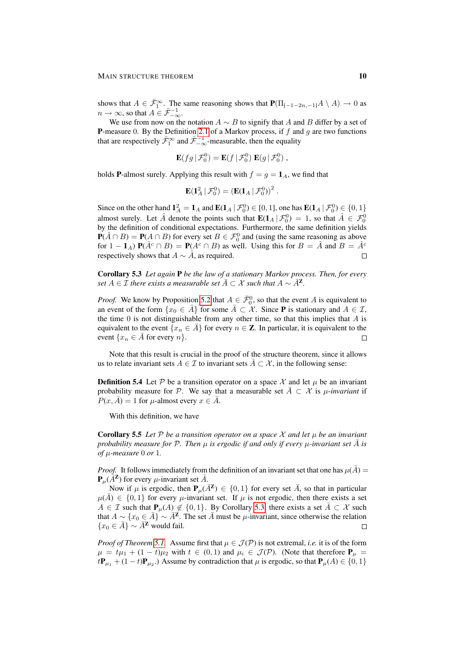shows that  $A \in \bar{\mathcal{F}}_1^{\infty}$ . The same reasoning shows that  $\mathbf{P}(\Pi_{[-1-2n,-1]}A \setminus A) \to 0$  as  $n \to \infty$ , so that  $A \in \bar{\mathcal{F}}_{-\infty}^{-1}$ .

We use from now on the notation  $A \sim B$  to signify that A and B differ by a set of **P**-measure 0. By the Definition [2.1](#page-1-1) of a Markov process, if  $f$  and  $g$  are two functions that are respectively  $\bar{\mathcal{F}}_1^{\infty}$  and  $\bar{\mathcal{F}}_{-\infty}^{-1}$ -measurable, then the equality

$$
\mathbf{E}(fg | \mathcal{F}_0^0) = \mathbf{E}(f | \mathcal{F}_0^0) \mathbf{E}(g | \mathcal{F}_0^0),
$$

holds **P**-almost surely. Applying this result with  $f = g = \mathbf{1}_A$ , we find that

$$
\mathbf{E}(\mathbf{1}_A^2 | \mathcal{F}_0^0) = \left(\mathbf{E}(\mathbf{1}_A | \mathcal{F}_0^0)\right)^2.
$$

Since on the other hand  $1_A^2 = 1_A$  and  $\mathbf{E}(1_A | \mathcal{F}_0^0) \in [0, 1]$ , one has  $\mathbf{E}(1_A | \mathcal{F}_0^0) \in \{0, 1\}$ almost surely. Let  $\hat{A}$  denote the points such that  $\mathbf{E}(\mathbf{1}_A | \mathcal{F}_0^0) = 1$ , so that  $\hat{A} \in \mathcal{F}_0^0$ by the definition of conditional expectations. Furthermore, the same definition yields  $P(A \cap B) = P(A \cap B)$  for every set  $B \in \mathcal{F}_0^0$  and (using the same reasoning as above for  $1 - \mathbf{1}_A$ )  $\mathbf{P}(\hat{A}^c \cap B) = \mathbf{P}(A^c \cap B)$  as well. Using this for  $B = \hat{A}$  and  $B = \hat{A}^c$ respectively shows that  $A \sim \hat{A}$ , as required.

<span id="page-9-0"></span>Corollary 5.3 *Let again* P *be the law of a stationary Markov process. Then, for every set*  $A \in \mathcal{I}$  *there exists a measurable set*  $\bar{A} \subset \mathcal{X}$  *such that*  $A \sim \bar{A}^{\mathbf{Z}}$ *.* 

*Proof.* We know by Proposition [5.2](#page-8-3) that  $A \in \overline{\mathcal{F}}_0^0$ , so that the event A is equivalent to an event of the form  $\{x_0 \in \overline{A}\}$  for some  $\overline{A} \subset \mathcal{X}$ . Since **P** is stationary and  $A \in \mathcal{I}$ , the time  $0$  is not distinguishable from any other time, so that this implies that  $A$  is equivalent to the event  $\{x_n \in \overline{A}\}$  for every  $n \in \mathbb{Z}$ . In particular, it is equivalent to the event  $\{x_n \in \overline{A} \text{ for every } n\}.$  $\Box$ 

Note that this result is crucial in the proof of the structure theorem, since it allows us to relate invariant sets  $A \in \mathcal{I}$  to invariant sets  $\overline{A} \subset \mathcal{X}$ , in the following sense:

**Definition 5.4** Let  $P$  be a transition operator on a space X and let  $\mu$  be an invariant probability measure for P. We say that a measurable set  $\overline{A} \subset \mathcal{X}$  is  $\mu$ -invariant if  $P(x, \overline{A}) = 1$  for  $\mu$ -almost every  $x \in \overline{A}$ .

With this definition, we have

<span id="page-9-1"></span>**Corollary 5.5** Let  $\mathcal{P}$  be a transition operator on a space  $\mathcal{X}$  and let  $\mu$  be an invariant *probability measure for*  $\mathcal{P}$ *. Then*  $\mu$  *is ergodic if and only if every*  $\mu$ *-invariant set*  $\tilde{A}$  *is of* µ*-measure* 0 *or* 1*.*

*Proof.* It follows immediately from the definition of an invariant set that one has  $\mu(\bar{A}) =$  ${\bf P}_\mu(\bar{A}^{\bf Z})$  for every  $\mu$ -invariant set  $\bar{A}$ .

Now if  $\mu$  is ergodic, then  $P_{\mu}(\bar{A}^{\mathbf{Z}}) \in \{0,1\}$  for every set  $\bar{A}$ , so that in particular  $\mu(\bar{A}) \in \{0,1\}$  for every  $\mu$ -invariant set. If  $\mu$  is not ergodic, then there exists a set  $A \in \mathcal{I}$  such that  $\mathbf{P}_{\mu}(A) \notin \{0,1\}$ . By Corollary [5.3,](#page-9-0) there exists a set  $\overline{A} \subset \mathcal{X}$  such that  $A \sim \{x_0 \in \overline{A}\} \sim \overline{A}^{\mathbf{Z}}$ . The set  $\overline{A}$  must be  $\mu$ -invariant, since otherwise the relation  ${x_0 \in \bar{A}} \sim \bar{A}^{\mathbf{Z}}$  would fail.  $\Box$ 

*Proof of Theorem [5.1.](#page-8-1)* Assume first that  $\mu \in \mathcal{J}(\mathcal{P})$  is not extremal, *i.e.* it is of the form  $\mu = t\mu_1 + (1-t)\mu_2$  with  $t \in (0,1)$  and  $\mu_i \in \mathcal{J}(\mathcal{P})$ . (Note that therefore  $\mathbf{P}_{\mu}$  $t\mathbf{P}_{\mu_1} + (1-t)\mathbf{P}_{\mu_2}$ .) Assume by contradiction that  $\mu$  is ergodic, so that  $\mathbf{P}_{\mu}(A) \in \{0,1\}$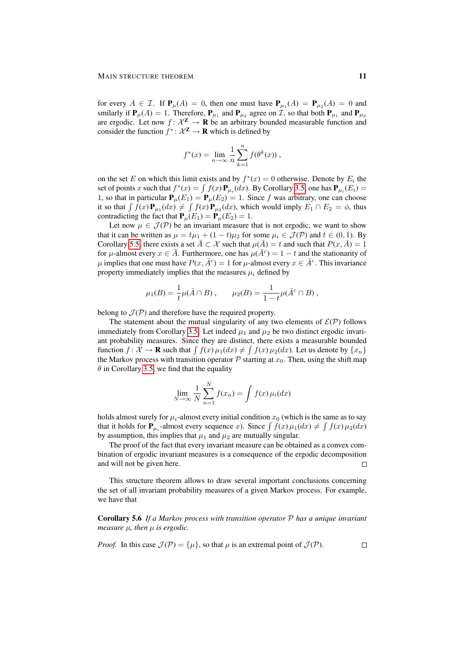for every  $A \in \mathcal{I}$ . If  $\mathbf{P}_{\mu}(A) = 0$ , then one must have  $\mathbf{P}_{\mu_1}(A) = \mathbf{P}_{\mu_2}(A) = 0$  and smilarly if  $P_\mu(A) = 1$ . Therefore,  $P_{\mu_1}$  and  $P_{\mu_2}$  agree on *T*, so that both  $P_{\mu_1}$  and  $P_{\mu_2}$ are ergodic. Let now  $f: \mathcal{X}^{\mathbf{Z}} \to \mathbf{R}$  be an arbitrary bounded measurable function and consider the function  $f^*: \mathcal{X}^{\mathbb{Z}} \to \mathbb{R}$  which is defined by

$$
f^*(x) = \lim_{n \to \infty} \frac{1}{n} \sum_{k=1}^n f(\theta^k(x)),
$$

on the set E on which this limit exists and by  $f^*(x) = 0$  otherwise. Denote by  $E_i$  the set of points x such that  $f^*(x) = \int f(x) \mathbf{P}_{\mu_i}(dx)$ . By Corollary [3.5,](#page-5-2) one has  $\mathbf{P}_{\mu_i}(E_i) =$ 1, so that in particular  $P_{\mu}(E_1) = P_{\mu}(E_2) = 1$ . Since f was arbitrary, one can choose it so that  $\int f(x) \mathbf{P}_{\mu_1}(dx) \neq \int f(x) \mathbf{P}_{\mu_2}(dx)$ , which would imply  $E_1 \cap E_2 = \phi$ , thus contradicting the fact that  $P_{\mu}(E_1) = P_{\mu}(E_2) = 1$ .

Let now  $\mu \in \mathcal{J}(\mathcal{P})$  be an invariant measure that is not ergodic, we want to show that it can be written as  $\mu = t\mu_1 + (1 - t)\mu_2$  for some  $\mu_i \in \mathcal{J}(\mathcal{P})$  and  $t \in (0, 1)$ . By Corollary [5.5,](#page-9-1) there exists a set  $\overline{A} \subset \mathcal{X}$  such that  $\mu(\overline{A}) = t$  and such that  $P(x, \overline{A}) = 1$ for  $\mu$ -almost every  $x \in \overline{A}$ . Furthermore, one has  $\mu(\overline{A}^c) = 1 - t$  and the stationarity of  $\mu$  implies that one must have  $P(x, \bar{A}^c) = 1$  for  $\mu$ -almost every  $x \in \bar{A}^c$ . This invariance property immediately implies that the measures  $\mu_i$  defined by

$$
\mu_1(B) = \frac{1}{t} \mu(\bar{A} \cap B), \qquad \mu_2(B) = \frac{1}{1-t} \mu(\bar{A}^c \cap B),
$$

belong to  $J(P)$  and therefore have the required property.

The statement about the mutual singularity of any two elements of  $\mathcal{E}(\mathcal{P})$  follows immediately from Corollary [3.5.](#page-5-2) Let indeed  $\mu_1$  and  $\mu_2$  be two distinct ergodic invariant probability measures. Since they are distinct, there exists a measurable bounded function  $f: \mathcal{X} \to \mathbf{R}$  such that  $\int f(x) \mu_1(dx) \neq \int f(x) \mu_2(dx)$ . Let us denote by  $\{x_n\}$ the Markov process with transition operator  $P$  starting at  $x_0$ . Then, using the shift map  $\theta$  in Corollary [3.5,](#page-5-2) we find that the equality

$$
\lim_{N \to \infty} \frac{1}{N} \sum_{n=1}^{N} f(x_n) = \int f(x) \,\mu_i(dx)
$$

holds almost surely for  $\mu_i$ -almost every initial condition  $x_0$  (which is the same as to say that it holds for  $P_{\mu_i}$ -almost every sequence x). Since  $\int f(x) \mu_1(dx) \neq \int f(x) \mu_2(dx)$ by assumption, this implies that  $\mu_1$  and  $\mu_2$  are mutually singular.

The proof of the fact that every invariant measure can be obtained as a convex combination of ergodic invariant measures is a consequence of the ergodic decomposition and will not be given here.  $\Box$ 

This structure theorem allows to draw several important conclusions concerning the set of all invariant probability measures of a given Markov process. For example, we have that

Corollary 5.6 *If a Markov process with transition operator* P *has a unique invariant measure*  $\mu$ *, then*  $\mu$  *is ergodic.* 

*Proof.* In this case 
$$
\mathcal{J}(\mathcal{P}) = {\mu}
$$
, so that  $\mu$  is an extremal point of  $\mathcal{J}(\mathcal{P})$ .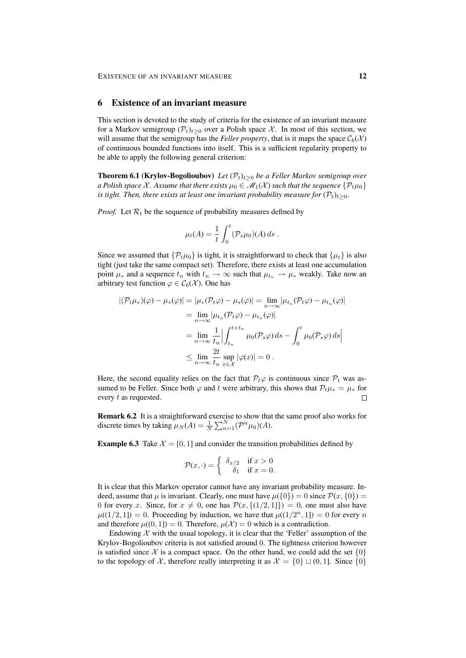#### <span id="page-11-0"></span>6 Existence of an invariant measure

This section is devoted to the study of criteria for the existence of an invariant measure for a Markov semigroup  $(\mathcal{P}_t)_{t>0}$  over a Polish space X. In most of this section, we will assume that the semigroup has the *Feller property*, that is it maps the space  $C_b(\mathcal{X})$ of continuous bounded functions into itself. This is a sufficient regularity property to be able to apply the following general criterion:

**Theorem 6.1 (Krylov-Bogolioubov)** *Let*  $(\mathcal{P}_t)_{t>0}$  *be a Feller Markov semigroup over a Polish space* X. Assume that there exists  $\mu_0 \in \mathcal{M}_1(\mathcal{X})$  such that the sequence  $\{\mathcal{P}_t\mu_0\}$ *is tight. Then, there exists at least one invariant probability measure for*  $(\mathcal{P}_t)_{t>0}$ *.* 

*Proof.* Let  $\mathcal{R}_t$  be the sequence of probability measures defined by

$$
\mu_t(A) = \frac{1}{t} \int_0^t (\mathcal{P}_s \mu_0)(A) \, ds \; .
$$

Since we assumed that  $\{P_t\mu_0\}$  is tight, it is straightforward to check that  $\{\mu_t\}$  is also tight (just take the same compact set). Therefore, there exists at least one accumulation point  $\mu_*$  and a sequence  $t_n$  with  $t_n \to \infty$  such that  $\mu_{t_n} \to \mu_*$  weakly. Take now an arbitrary test function  $\varphi \in C_b(\mathcal{X})$ . One has

$$
\begin{aligned} |(\mathcal{P}_t \mu_*)(\varphi) - \mu_*(\varphi)| &= |\mu_*(\mathcal{P}_t \varphi) - \mu_*(\varphi)| = \lim_{n \to \infty} |\mu_{t_n}(\mathcal{P}_t \varphi) - \mu_{t_n}(\varphi)| \\ &= \lim_{n \to \infty} |\mu_{t_n}(\mathcal{P}_t \varphi) - \mu_{t_n}(\varphi)| \\ &= \lim_{n \to \infty} \frac{1}{t_n} \Big| \int_{t_n}^{t + t_n} \mu_0(\mathcal{P}_s \varphi) \, ds - \int_0^t \mu_0(\mathcal{P}_s \varphi) \, ds \Big| \\ &\leq \lim_{n \to \infty} \frac{2t}{t_n} \sup_{x \in \mathcal{X}} |\varphi(x)| = 0 \,. \end{aligned}
$$

Here, the second equality relies on the fact that  $\mathcal{P}_t\varphi$  is continuous since  $\mathcal{P}_t$  was assumed to be Feller. Since both  $\varphi$  and t were arbitrary, this shows that  $\mathcal{P}_{t}\mu_{*} = \mu_{*}$  for every t as requested.  $\Box$ 

Remark 6.2 It is a straightforward exercise to show that the same proof also works for discrete times by taking  $\mu_N(A) = \frac{1}{N} \sum_{n=1}^N (\mathcal{P}^n \mu_0)(A)$ .

<span id="page-11-1"></span>**Example 6.3** Take  $\mathcal{X} = [0, 1]$  and consider the transition probabilities defined by

$$
\mathcal{P}(x,\cdot) = \begin{cases} \delta_{x/2} & \text{if } x > 0\\ \delta_1 & \text{if } x = 0. \end{cases}
$$

It is clear that this Markov operator cannot have any invariant probability measure. Indeed, assume that  $\mu$  is invariant. Clearly, one must have  $\mu({0}) = 0$  since  $\mathcal{P}(x, {0}) =$ 0 for every x. Since, for  $x \neq 0$ , one has  $\mathcal{P}(x, \{(1/2, 1]\}) = 0$ , one must also have  $\mu((1/2, 1]) = 0$ . Proceeding by induction, we have that  $\mu((1/2<sup>n</sup>, 1]) = 0$  for every n and therefore  $\mu((0,1]) = 0$ . Therefore,  $\mu(\mathcal{X}) = 0$  which is a contradiction.

Endowing  $X$  with the usual topology, it is clear that the 'Feller' assumption of the Krylov-Bogolioubov criteria is not satisfied around 0. The tightness criterion however is satisfied since X is a compact space. On the other hand, we could add the set  $\{0\}$ to the topology of X, therefore really interpreting it as  $\mathcal{X} = \{0\} \sqcup (0, 1]$ . Since  $\{0\}$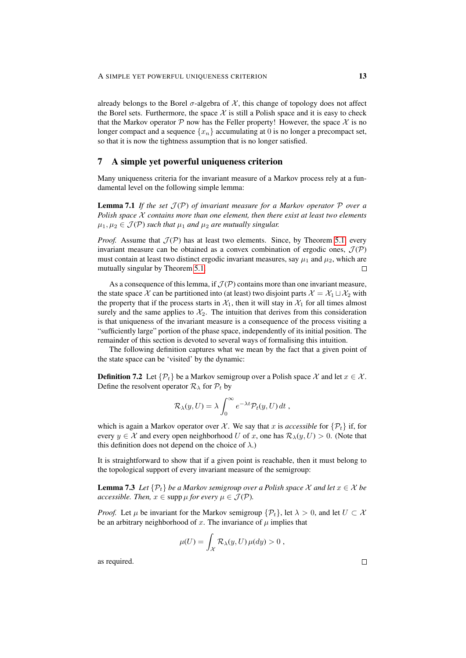already belongs to the Borel  $\sigma$ -algebra of X, this change of topology does not affect the Borel sets. Furthermore, the space  $\mathcal X$  is still a Polish space and it is easy to check that the Markov operator P now has the Feller property! However, the space  $\mathcal X$  is no longer compact and a sequence  ${x_n}$  accumulating at 0 is no longer a precompact set, so that it is now the tightness assumption that is no longer satisfied.

### <span id="page-12-0"></span>7 A simple yet powerful uniqueness criterion

Many uniqueness criteria for the invariant measure of a Markov process rely at a fundamental level on the following simple lemma:

**Lemma 7.1** If the set  $\mathcal{J}(\mathcal{P})$  of invariant measure for a Markov operator  $\mathcal{P}$  over a *Polish space* X *contains more than one element, then there exist at least two elements*  $\mu_1, \mu_2 \in \mathcal{J}(\mathcal{P})$  *such that*  $\mu_1$  *and*  $\mu_2$  *are mutually singular.* 

*Proof.* Assume that  $\mathcal{J}(\mathcal{P})$  has at least two elements. Since, by Theorem [5.1,](#page-8-1) every invariant measure can be obtained as a convex combination of ergodic ones,  $\mathcal{J}(\mathcal{P})$ must contain at least two distinct ergodic invariant measures, say  $\mu_1$  and  $\mu_2$ , which are mutually singular by Theorem [5.1.](#page-8-1)  $\Box$ 

As a consequence of this lemma, if  $\mathcal{J}(P)$  contains more than one invariant measure, the state space X can be partitioned into (at least) two disjoint parts  $\mathcal{X} = \mathcal{X}_1 \sqcup \mathcal{X}_2$  with the property that if the process starts in  $\mathcal{X}_1$ , then it will stay in  $\mathcal{X}_1$  for all times almost surely and the same applies to  $\mathcal{X}_2$ . The intuition that derives from this consideration is that uniqueness of the invariant measure is a consequence of the process visiting a "sufficiently large" portion of the phase space, independently of its initial position. The remainder of this section is devoted to several ways of formalising this intuition.

The following definition captures what we mean by the fact that a given point of the state space can be 'visited' by the dynamic:

**Definition 7.2** Let  $\{\mathcal{P}_t\}$  be a Markov semigroup over a Polish space X and let  $x \in \mathcal{X}$ . Define the resolvent operator  $\mathcal{R}_{\lambda}$  for  $\mathcal{P}_{t}$  by

$$
\mathcal{R}_{\lambda}(y,U) = \lambda \int_0^{\infty} e^{-\lambda t} \mathcal{P}_t(y,U) dt,
$$

which is again a Markov operator over X. We say that x is *accessible* for  $\{\mathcal{P}_t\}$  if, for every  $y \in \mathcal{X}$  and every open neighborhood U of x, one has  $\mathcal{R}_{\lambda}(y, U) > 0$ . (Note that this definition does not depend on the choice of  $\lambda$ .)

It is straightforward to show that if a given point is reachable, then it must belong to the topological support of every invariant measure of the semigroup:

**Lemma 7.3** *Let*  $\{\mathcal{P}_t\}$  *be a Markov semigroup over a Polish space* X *and let*  $x \in \mathcal{X}$  *be accessible. Then,*  $x \in \text{supp }\mu$  *for every*  $\mu \in \mathcal{J}(\mathcal{P})$ *.* 

*Proof.* Let  $\mu$  be invariant for the Markov semigroup  $\{\mathcal{P}_t\}$ , let  $\lambda > 0$ , and let  $U \subset \mathcal{X}$ be an arbitrary neighborhood of x. The invariance of  $\mu$  implies that

<span id="page-12-1"></span>
$$
\mu(U) = \int_{\mathcal{X}} \mathcal{R}_{\lambda}(y, U) \,\mu(dy) > 0,
$$

as required.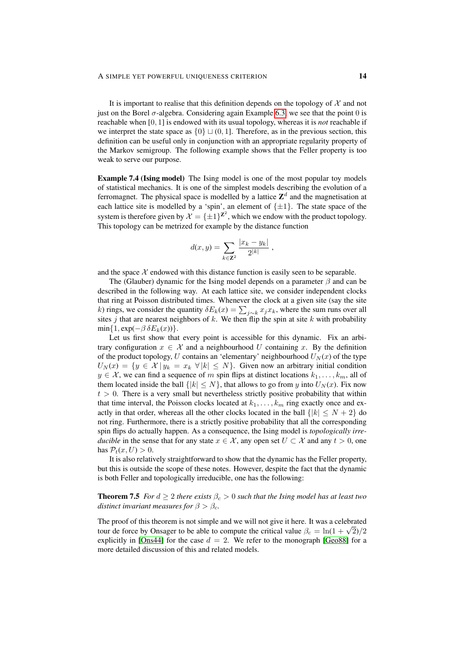It is important to realise that this definition depends on the topology of  $X$  and not just on the Borel  $\sigma$ -algebra. Considering again Example [6.3,](#page-11-1) we see that the point 0 is reachable when [0, 1] is endowed with its usual topology, whereas it is *not* reachable if we interpret the state space as  $\{0\} \sqcup (0, 1]$ . Therefore, as in the previous section, this definition can be useful only in conjunction with an appropriate regularity property of the Markov semigroup. The following example shows that the Feller property is too weak to serve our purpose.

Example 7.4 (Ising model) The Ising model is one of the most popular toy models of statistical mechanics. It is one of the simplest models describing the evolution of a ferromagnet. The physical space is modelled by a lattice  $\mathbf{Z}^{d}$  and the magnetisation at each lattice site is modelled by a 'spin', an element of  $\{\pm 1\}$ . The state space of the system is therefore given by  $\mathcal{X} = {\pm 1}^{\mathbf{Z}^2}$ , which we endow with the product topology. This topology can be metrized for example by the distance function

$$
d(x,y) = \sum_{k \in \mathbb{Z}^2} \frac{|x_k - y_k|}{2^{|k|}},
$$

and the space  $\mathcal X$  endowed with this distance function is easily seen to be separable.

The (Glauber) dynamic for the Ising model depends on a parameter  $\beta$  and can be described in the following way. At each lattice site, we consider independent clocks that ring at Poisson distributed times. Whenever the clock at a given site (say the site k) rings, we consider the quantity  $\delta E_k(x) = \sum_{j \sim k} x_j x_k$ , where the sum runs over all sites j that are nearest neighbors of  $k$ . We then flip the spin at site  $k$  with probability  $min{1, exp(-\beta \delta E_k(x))}$ .

Let us first show that every point is accessible for this dynamic. Fix an arbitrary configuration  $x \in \mathcal{X}$  and a neighbourhood U containing x. By the definition of the product topology, U contains an 'elementary' neighbourhood  $U<sub>N</sub>(x)$  of the type  $U_N(x) = \{y \in \mathcal{X} \mid y_k = x_k \forall |k| \leq N\}$ . Given now an arbitrary initial condition  $y \in \mathcal{X}$ , we can find a sequence of m spin flips at distinct locations  $k_1, \ldots, k_m$ , all of them located inside the ball  $\{|k| \leq N\}$ , that allows to go from y into  $U_N(x)$ . Fix now  $t > 0$ . There is a very small but nevertheless strictly positive probability that within that time interval, the Poisson clocks located at  $k_1, \ldots, k_m$  ring exactly once and exactly in that order, whereas all the other clocks located in the ball  $\{|k| \le N + 2\}$  do not ring. Furthermore, there is a strictly positive probability that all the corresponding spin flips do actually happen. As a consequence, the Ising model is *topologically irreducible* in the sense that for any state  $x \in \mathcal{X}$ , any open set  $U \subset \mathcal{X}$  and any  $t > 0$ , one has  $P_t(x, U) > 0$ .

It is also relatively straightforward to show that the dynamic has the Feller property, but this is outside the scope of these notes. However, despite the fact that the dynamic is both Feller and topologically irreducible, one has the following:

**Theorem 7.5** *For*  $d \geq 2$  *there exists*  $\beta_c > 0$  *such that the Ising model has at least two distinct invariant measures for*  $\beta > \beta_c$ *.* 

The proof of this theorem is not simple and we will not give it here. It was a celebrated The proof of this theorem is not simple and we will not give it here. It was a celebrated tour de force by Onsager to be able to compute the critical value  $\beta_c = \ln(1 + \sqrt{2})/2$ explicitly in [\[Ons44\]](#page-29-5) for the case  $d = 2$ . We refer to the monograph [\[Geo88\]](#page-28-3) for a more detailed discussion of this and related models.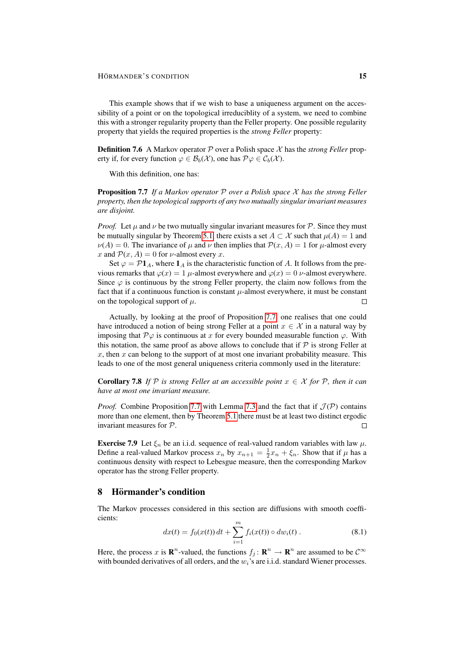This example shows that if we wish to base a uniqueness argument on the accessibility of a point or on the topological irreduciblity of a system, we need to combine this with a stronger regularity property than the Feller property. One possible regularity property that yields the required properties is the *strong Feller* property:

**Definition 7.6** A Markov operator  $P$  over a Polish space  $\chi$  has the *strong Feller* property if, for every function  $\varphi \in \mathcal{B}_b(\mathcal{X})$ , one has  $\mathcal{P}\varphi \in \mathcal{C}_b(\mathcal{X})$ .

With this definition, one has:

<span id="page-14-1"></span>Proposition 7.7 *If a Markov operator* P *over a Polish space* X *has the strong Feller property, then the topological supports of any two mutually singular invariant measures are disjoint.*

*Proof.* Let  $\mu$  and  $\nu$  be two mutually singular invariant measures for  $\mathcal{P}$ . Since they must be mutually singular by Theorem [5.1,](#page-8-1) there exists a set  $A \subset \mathcal{X}$  such that  $\mu(A) = 1$  and  $\nu(A) = 0$ . The invariance of  $\mu$  and  $\nu$  then implies that  $\mathcal{P}(x, A) = 1$  for  $\mu$ -almost every x and  $P(x, A) = 0$  for v-almost every x.

Set  $\varphi = \mathcal{P}1_A$ , where  $1_A$  is the characteristic function of A. It follows from the previous remarks that  $\varphi(x) = 1$  µ-almost everywhere and  $\varphi(x) = 0$  v-almost everywhere. Since  $\varphi$  is continuous by the strong Feller property, the claim now follows from the fact that if a continuous function is constant  $\mu$ -almost everywhere, it must be constant on the topological support of  $\mu$ .  $\Box$ 

Actually, by looking at the proof of Proposition [7.7,](#page-14-1) one realises that one could have introduced a notion of being strong Feller at a point  $x \in \mathcal{X}$  in a natural way by imposing that  $\mathcal{P}\varphi$  is continuous at x for every bounded measurable function  $\varphi$ . With this notation, the same proof as above allows to conclude that if  $P$  is strong Feller at  $x$ , then  $x$  can belong to the support of at most one invariant probability measure. This leads to one of the most general uniqueness criteria commonly used in the literature:

<span id="page-14-3"></span>**Corollary 7.8** *If* P *is strong Feller at an accessible point*  $x \in \mathcal{X}$  *for* P, *then it can have at most one invariant measure.*

*Proof.* Combine Proposition [7.7](#page-14-1) with Lemma [7.3](#page-12-1) and the fact that if  $\mathcal{J}(\mathcal{P})$  contains more than one element, then by Theorem [5.1](#page-8-1) there must be at least two distinct ergodic invariant measures for P.  $\Box$ 

**Exercise 7.9** Let  $\xi_n$  be an i.i.d. sequence of real-valued random variables with law  $\mu$ . Define a real-valued Markov process  $x_n$  by  $x_{n+1} = \frac{1}{2}x_n + \xi_n$ . Show that if  $\mu$  has a continuous density with respect to Lebesgue measure, then the corresponding Markov operator has the strong Feller property.

## <span id="page-14-0"></span>8 Hörmander's condition

The Markov processes considered in this section are diffusions with smooth coefficients:

<span id="page-14-2"></span>
$$
dx(t) = f_0(x(t)) dt + \sum_{i=1}^{m} f_i(x(t)) \circ dw_i(t).
$$
 (8.1)

Here, the process x is  $\mathbb{R}^n$ -valued, the functions  $f_j : \mathbb{R}^n \to \mathbb{R}^n$  are assumed to be  $\mathcal{C}^{\infty}$ with bounded derivatives of all orders, and the  $w_i$ 's are i.i.d. standard Wiener processes.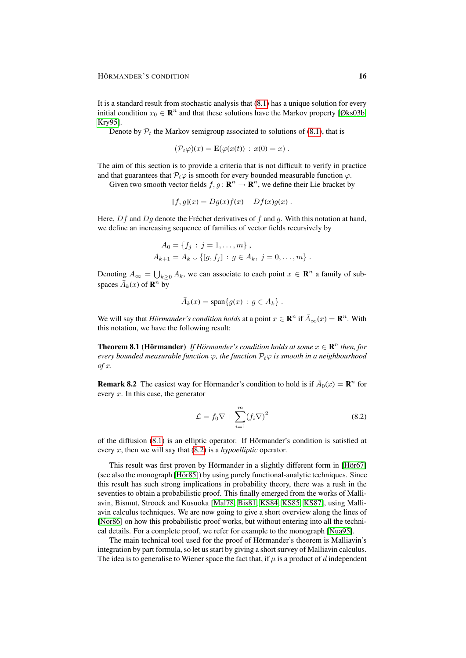It is a standard result from stochastic analysis that [\(8.1\)](#page-14-2) has a unique solution for every initial condition  $x_0 \in \mathbb{R}^n$  and that these solutions have the Markov property [\[Øks03b,](#page-29-6) [Kry95\]](#page-28-4).

Denote by  $P_t$  the Markov semigroup associated to solutions of [\(8.1\)](#page-14-2), that is

$$
(\mathcal{P}_t\varphi)(x) = \mathbf{E}(\varphi(x(t)) : x(0) = x) .
$$

The aim of this section is to provide a criteria that is not difficult to verify in practice and that guarantees that  $P_t\varphi$  is smooth for every bounded measurable function  $\varphi$ .

Given two smooth vector fields  $f, g \colon \mathbf{R}^n \to \mathbf{R}^n$ , we define their Lie bracket by

$$
[f,g](x) = Dg(x)f(x) - Df(x)g(x) .
$$

Here,  $Df$  and  $Dg$  denote the Fréchet derivatives of  $f$  and  $g$ . With this notation at hand, we define an increasing sequence of families of vector fields recursively by

$$
A_0 = \{f_j : j = 1, ..., m\},
$$
  

$$
A_{k+1} = A_k \cup \{[g, f_j] : g \in A_k, j = 0, ..., m\}.
$$

Denoting  $A_{\infty} = \bigcup_{k \geq 0} A_k$ , we can associate to each point  $x \in \mathbb{R}^n$  a family of subspaces  $\overline{A}_k(x)$  of  $\mathbb{R}^n$  by

$$
\bar{A}_k(x) = \text{span}\{g(x) : g \in A_k\}.
$$

We will say that *Hörmander's condition holds* at a point  $x \in \mathbb{R}^n$  if  $\bar{A}_{\infty}(x) = \mathbb{R}^n$ . With this notation, we have the following result:

**Theorem 8.1 (Hörmander)** If Hörmander's condition holds at some  $x \in \mathbb{R}^n$  then, for *every bounded measurable function*  $\varphi$ , the function  $\mathcal{P}_t\varphi$  is smooth in a neighbourhood *of* x*.*

**Remark 8.2** The easiest way for Hörmander's condition to hold is if  $\bar{A}_0(x) = \mathbf{R}^n$  for every  $x$ . In this case, the generator

<span id="page-15-0"></span>
$$
\mathcal{L} = f_0 \nabla + \sum_{i=1}^{m} (f_i \nabla)^2
$$
\n(8.2)

of the diffusion  $(8.1)$  is an elliptic operator. If Hörmander's condition is satisfied at every x, then we will say that [\(8.2\)](#page-15-0) is a *hypoelliptic* operator.

This result was first proven by Hörmander in a slightly different form in [Hör67] (see also the monograph [Hör85]) by using purely functional-analytic techniques. Since this result has such strong implications in probability theory, there was a rush in the seventies to obtain a probabilistic proof. This finally emerged from the works of Malliavin, Bismut, Stroock and Kusuoka [\[Mal78,](#page-29-7) [Bis81,](#page-28-7) [KS84,](#page-28-8) [KS85,](#page-28-9) [KS87\]](#page-28-10), using Malliavin calculus techniques. We are now going to give a short overview along the lines of [\[Nor86\]](#page-29-8) on how this probabilistic proof works, but without entering into all the technical details. For a complete proof, we refer for example to the monograph [\[Nua95\]](#page-29-9).

The main technical tool used for the proof of Hörmander's theorem is Malliavin's integration by part formula, so let us start by giving a short survey of Malliavin calculus. The idea is to generalise to Wiener space the fact that, if  $\mu$  is a product of d independent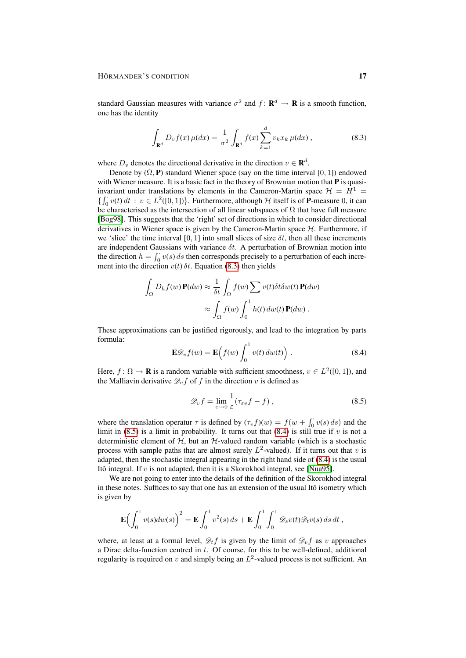standard Gaussian measures with variance  $\sigma^2$  and  $f: \mathbf{R}^d \to \mathbf{R}$  is a smooth function, one has the identity

<span id="page-16-0"></span>
$$
\int_{\mathbf{R}^d} D_v f(x) \,\mu(dx) = \frac{1}{\sigma^2} \int_{\mathbf{R}^d} f(x) \sum_{k=1}^d v_k x_k \,\mu(dx) \,, \tag{8.3}
$$

where  $D_v$  denotes the directional derivative in the direction  $v \in \mathbf{R}^d$ .

Denote by  $(\Omega, \mathbf{P})$  standard Wiener space (say on the time interval [0, 1]) endowed with Wiener measure. It is a basic fact in the theory of Brownian motion that  $P$  is quasiinvariant under translations by elements in the Cameron-Martin space  $\mathcal{H} = H^1 =$  $\{\int_0^{\cdot} v(t) dt : v \in L^2([0,1])\}$ . Furthermore, although H itself is of **P**-measure 0, it can be characterised as the intersection of all linear subspaces of  $\Omega$  that have full measure [\[Bog98\]](#page-28-11). This suggests that the 'right' set of directions in which to consider directional derivatives in Wiener space is given by the Cameron-Martin space  $H$ . Furthermore, if we 'slice' the time interval [0, 1] into small slices of size  $\delta t$ , then all these increments are independent Gaussians with variance  $\delta t$ . A perturbation of Brownian motion into the direction  $h = \int_0^1 v(s) ds$  then corresponds precisely to a perturbation of each increment into the direction  $v(t)$   $\delta t$ . Equation [\(8.3\)](#page-16-0) then yields

$$
\int_{\Omega} D_h f(w) \mathbf{P}(dw) \approx \frac{1}{\delta t} \int_{\Omega} f(w) \sum v(t) \delta t \delta w(t) \mathbf{P}(dw)
$$

$$
\approx \int_{\Omega} f(w) \int_0^1 h(t) \, dw(t) \mathbf{P}(dw) .
$$

These approximations can be justified rigorously, and lead to the integration by parts formula:

$$
\mathbf{E}\mathscr{D}_v f(w) = \mathbf{E}\left(f(w)\int_0^1 v(t) \, dw(t)\right). \tag{8.4}
$$

Here,  $f: \Omega \to \mathbf{R}$  is a random variable with sufficient smoothness,  $v \in L^2([0,1])$ , and the Malliavin derivative  $\mathcal{D}_{\nu} f$  of f in the direction v is defined as

<span id="page-16-2"></span><span id="page-16-1"></span>
$$
\mathscr{D}_v f = \lim_{\varepsilon \to 0} \frac{1}{\varepsilon} (\tau_{\varepsilon v} f - f) , \qquad (8.5)
$$

where the translation operatur  $\tau$  is defined by  $(\tau_v f)(w) = f(w + \int_0^v v(s) ds)$  and the limit in [\(8.5\)](#page-16-1) is a limit in probability. It turns out that [\(8.4\)](#page-16-2) is still true if v is not a deterministic element of  $H$ , but an  $H$ -valued random variable (which is a stochastic process with sample paths that are almost surely  $L^2$ -valued). If it turns out that v is adapted, then the stochastic integral appearing in the right hand side of [\(8.4\)](#page-16-2) is the usual Itô integral. If  $v$  is not adapted, then it is a Skorokhod integral, see [\[Nua95\]](#page-29-9).

We are not going to enter into the details of the definition of the Skorokhod integral in these notes. Suffices to say that one has an extension of the usual Itô isometry which is given by

$$
\mathbf{E}\Big(\int_0^1 v(s)dw(s)\Big)^2 = \mathbf{E}\int_0^1 v^2(s) ds + \mathbf{E}\int_0^1 \int_0^1 \mathcal{D}_s v(t)\mathcal{D}_t v(s) ds dt,
$$

where, at least at a formal level,  $\mathcal{D}_t f$  is given by the limit of  $\mathcal{D}_v f$  as v approaches a Dirac delta-function centred in  $t$ . Of course, for this to be well-defined, additional regularity is required on v and simply being an  $L^2$ -valued process is not sufficient. An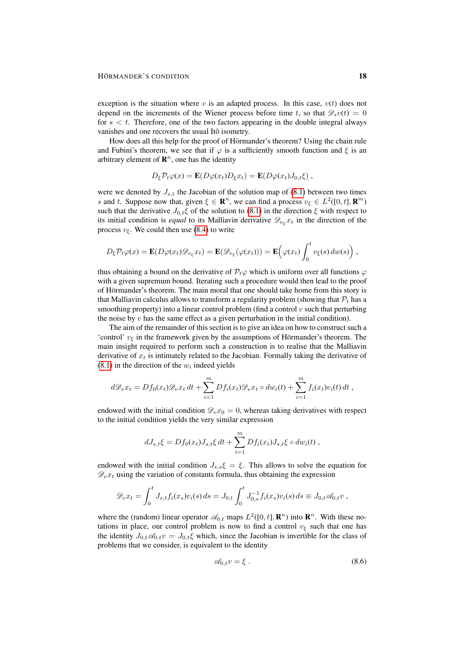exception is the situation where  $v$  is an adapted process. In this case,  $v(t)$  does not depend on the increments of the Wiener process before time t, so that  $\mathscr{D}_{s}v(t) = 0$ for  $s < t$ . Therefore, one of the two factors appearing in the double integral always vanishes and one recovers the usual Itô isometry.

How does all this help for the proof of Hörmander's theorem? Using the chain rule and Fubini's theorem, we see that if  $\varphi$  is a sufficiently smooth function and  $\xi$  is an arbitrary element of  $\mathbb{R}^n$ , one has the identity

$$
D_{\xi} \mathcal{P}_t \varphi(x) = \mathbf{E}(D\varphi(x_t)D_{\xi}x_t) = \mathbf{E}(D\varphi(x_t)J_{0,t}\xi) ,
$$

were we denoted by  $J_{s,t}$  the Jacobian of the solution map of [\(8.1\)](#page-14-2) between two times s and t. Suppose now that, given  $\xi \in \mathbb{R}^n$ , we can find a process  $v_{\xi} \in L^2([0, t], \mathbb{R}^m)$ such that the derivative  $J_{0,t}\xi$  of the solution to [\(8.1\)](#page-14-2) in the direction  $\xi$  with respect to its initial condition is *equal* to its Malliavin derivative  $\mathscr{D}_{v_{\varepsilon}} x_t$  in the direction of the process  $v_{\xi}$ . We could then use [\(8.4\)](#page-16-2) to write

$$
D_{\xi} \mathcal{P}_{t} \varphi(x) = \mathbf{E}(D\varphi(x_t) \mathcal{D}_{v_{\xi}} x_t) = \mathbf{E}(\mathcal{D}_{v_{\xi}}(\varphi(x_t))) = \mathbf{E}(\varphi(x_t) \int_0^t v_{\xi}(s) dw(s)),
$$

thus obtaining a bound on the derivative of  $P_t\varphi$  which is uniform over all functions  $\varphi$ with a given supremum bound. Iterating such a procedure would then lead to the proof of Hörmander's theorem. The main moral that one should take home from this story is that Malliavin calculus allows to transform a regularity problem (showing that  $P_t$  has a smoothing property) into a linear control problem (find a control  $v$  such that perturbing the noise by  $v$  has the same effect as a given perturbation in the initial condition).

The aim of the remainder of this section is to give an idea on how to construct such a 'control'  $v_{\xi}$  in the framework given by the assumptions of Hörmander's theorem. The main insight required to perform such a construction is to realise that the Malliavin derivative of  $x_t$  is intimately related to the Jacobian. Formally taking the derivative of  $(8.1)$  in the direction of the  $w_i$  indeed yields

$$
d\mathcal{D}_v x_t = Df_0(x_t) \mathcal{D}_v x_t dt + \sum_{i=1}^m Df_i(x_t) \mathcal{D}_v x_t \circ dw_i(t) + \sum_{i=1}^m f_i(x_t) v_i(t) dt,
$$

endowed with the initial condition  $\mathcal{D}_v x_0 = 0$ , whereas taking derivatives with respect to the initial condition yields the very similar expression

$$
dJ_{s,t}\xi = Df_0(x_t)J_{s,t}\xi dt + \sum_{i=1}^m Df_i(x_t)J_{s,t}\xi \circ dw_i(t) ,
$$

endowed with the initial condition  $J_{s,s}\xi = \xi$ . This allows to solve the equation for  $\mathscr{D}_{v}x_{t}$  using the variation of constants formula, thus obtaining the expression

$$
\mathscr{D}_v x_t = \int_0^t J_{s,t} f_i(x_s) v_i(s) \, ds = J_{0,t} \int_0^t J_{0,s}^{-1} f_i(x_s) v_i(s) \, ds \equiv J_{0,t} \mathscr{A}_{0,t} v \,,
$$

where the (random) linear operator  $\mathcal{A}_{0,t}$  maps  $L^2([0,t], \mathbb{R}^n)$  into  $\mathbb{R}^n$ . With these notations in place, our control problem is now to find a control  $v_{\xi}$  such that one has the identity  $J_{0,t}\mathscr{A}_{0,t}v = J_{0,t}\xi$  which, since the Jacobian is invertible for the class of problems that we consider, is equivalent to the identity

<span id="page-17-0"></span>
$$
\mathscr{A}_{0,t}v = \xi \tag{8.6}
$$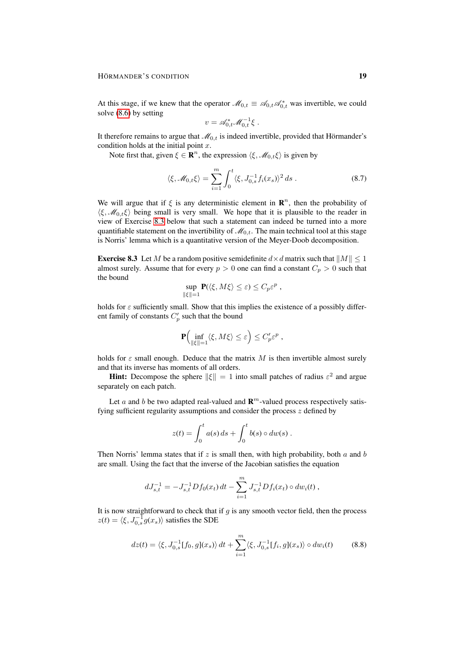At this stage, if we knew that the operator  $\mathcal{M}_{0,t} \equiv \mathcal{A}_{0,t} \mathcal{A}_{0,t}^*$  was invertible, we could solve [\(8.6\)](#page-17-0) by setting

<span id="page-18-1"></span>
$$
v = \mathscr{A}_{0,t}^* \mathscr{M}_{0,t}^{-1} \xi .
$$

It therefore remains to argue that  $\mathcal{M}_{0,t}$  is indeed invertible, provided that Hörmander's condition holds at the initial point  $x$ .

Note first that, given  $\xi \in \mathbf{R}^n$ , the expression  $\langle \xi, \mathcal{M}_{0,t} \xi \rangle$  is given by

$$
\langle \xi, \mathcal{M}_{0,t} \xi \rangle = \sum_{i=1}^{m} \int_0^t \langle \xi, J_{0,s}^{-1} f_i(x_s) \rangle^2 ds . \tag{8.7}
$$

We will argue that if  $\xi$  is any deterministic element in  $\mathbb{R}^n$ , then the probability of  $\langle \xi, \mathcal{M}_{0,t} \xi \rangle$  being small is very small. We hope that it is plausible to the reader in view of Exercise [8.3](#page-18-0) below that such a statement can indeed be turned into a more quantifiable statement on the invertibility of  $\mathcal{M}_{0,t}$ . The main technical tool at this stage is Norris' lemma which is a quantitative version of the Meyer-Doob decomposition.

<span id="page-18-0"></span>**Exercise 8.3** Let M be a random positive semidefinite  $d \times d$  matrix such that  $||M|| \leq 1$ almost surely. Assume that for every  $p > 0$  one can find a constant  $C_p > 0$  such that the bound

$$
\sup_{\|\xi\|=1} \mathbf{P}(\langle \xi, M\xi \rangle \leq \varepsilon) \leq C_p \varepsilon^p ,
$$

holds for  $\varepsilon$  sufficiently small. Show that this implies the existence of a possibly different family of constants  $C_p'$  such that the bound

$$
\mathbf{P}\Bigl(\inf_{\|\xi\|=1}\langle \xi,M\xi\rangle\leq \varepsilon\Bigr)\leq C_p'\varepsilon^p\;,
$$

holds for  $\varepsilon$  small enough. Deduce that the matrix M is then invertible almost surely and that its inverse has moments of all orders.

**Hint:** Decompose the sphere  $\|\xi\| = 1$  into small patches of radius  $\varepsilon^2$  and argue separately on each patch.

Let a and b be two adapted real-valued and  $\mathbf{R}^m$ -valued process respectively satisfying sufficient regularity assumptions and consider the process  $z$  defined by

<span id="page-18-2"></span>
$$
z(t) = \int_0^t a(s) ds + \int_0^t b(s) \circ dw(s) .
$$

Then Norris' lemma states that if  $z$  is small then, with high probability, both  $a$  and  $b$ are small. Using the fact that the inverse of the Jacobian satisfies the equation

$$
dJ_{s,t}^{-1} = -J_{s,t}^{-1} Df_0(x_t) dt - \sum_{i=1}^m J_{s,t}^{-1} Df_i(x_t) \circ dw_i(t) ,
$$

It is now straightforward to check that if  $g$  is any smooth vector field, then the process  $z(t) = \langle \xi, J_{0,s}^{-1} g(x_s) \rangle$  satisfies the SDE

$$
dz(t) = \langle \xi, J_{0,s}^{-1}[f_0, g](x_s) \rangle dt + \sum_{i=1}^{m} \langle \xi, J_{0,s}^{-1}[f_i, g](x_s) \rangle \circ dw_i(t)
$$
(8.8)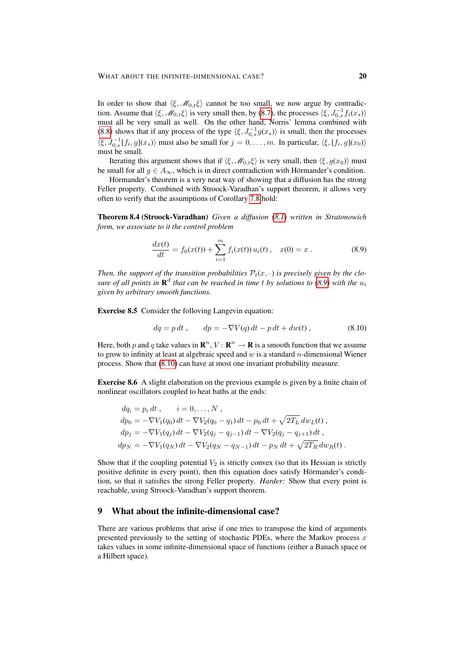In order to show that  $\langle \xi, \mathcal{M}_{0,t} \xi \rangle$  cannot be too small, we now argue by contradiction. Assume that  $\langle \xi, \mathcal{M}_{0,t} \xi \rangle$  is very small then, by [\(8.7\)](#page-18-1), the processes  $\langle \xi, J_{0,s}^{-1} f_i(x_s) \rangle$ must all be very small as well. On the other hand, Norris' lemma combined with [\(8.8\)](#page-18-2) shows that if any process of the type  $\langle \xi, J_{0,s}^{-1} g(x_s) \rangle$  is small, then the processes  $\langle \xi, J_{0,s}^{-1}[f_i,g](x_s) \rangle$  must also be small for  $j = 0, \ldots, m$ . In particular,  $\langle \xi, [f_i,g](x_0) \rangle$ must be small.

Iterating this argument shows that if  $\langle \xi, \mathcal{M}_{0,t} \xi \rangle$  is very small, then  $\langle \xi, g(x_0) \rangle$  must be small for all  $g \in A_{\infty}$ , which is in direct contradiction with Hörmander's condition.

Hörmander's theorem is a very neat way of showing that a diffusion has the strong Feller property. Combined with Stroock-Varadhan's support theorem, it allows very often to verify that the assumptions of Corollary [7.8](#page-14-3) hold:

Theorem 8.4 (Stroock-Varadhan) *Given a diffusion [\(8.1\)](#page-14-2) written in Stratonowich form, we associate to it the control problem*

<span id="page-19-1"></span>
$$
\frac{dx(t)}{dt} = f_0(x(t)) + \sum_{i=1}^{m} f_i(x(t)) u_i(t), \quad x(0) = x.
$$
 (8.9)

Then, the support of the transition probabilities  $P_t(x, \cdot)$  is precisely given by the clo*sure of all points in*  $\mathbf{R}^d$  *that can be reached in time t by solutions to* [\(8.9\)](#page-19-1) with the  $u_i$ *given by arbitrary smooth functions.*

Exercise 8.5 Consider the folloving Langevin equation:

<span id="page-19-2"></span>
$$
dq = p dt, \t dp = -\nabla V(q) dt - p dt + dw(t), \t (8.10)
$$

Here, both p and q take values in  $\mathbf{R}^n$ ,  $V: \mathbf{R}^n \to \mathbf{R}$  is a smooth function that we assume to grow to infinity at least at algebraic speed and  $w$  is a standard n-dimensional Wiener process. Show that [\(8.10\)](#page-19-2) can have at most one invariant probability measure.

Exercise 8.6 A slight elaboration on the previous example is given by a finite chain of nonlinear oscillators coupled to heat baths at the ends:

$$
dq_i = p_i dt, \qquad i = 0,...,N,
$$
  
\n
$$
dp_0 = -\nabla V_1(q_0) dt - \nabla V_2(q_0 - q_1) dt - p_0 dt + \sqrt{2T_L} dw_L(t),
$$
  
\n
$$
dp_j = -\nabla V_1(q_j) dt - \nabla V_2(q_j - q_{j-1}) dt - \nabla V_2(q_j - q_{j+1}) dt,
$$
  
\n
$$
dp_N = -\nabla V_1(q_N) dt - \nabla V_2(q_N - q_{N-1}) dt - p_N dt + \sqrt{2T_R} dw_R(t).
$$

Show that if the coupling potential  $V_2$  is strictly convex (so that its Hessian is strictly positive definite in every point), then this equation does satisfy Hörmander's condition, so that it satisfies the strong Feller property. *Harder:* Show that every point is reachable, using Stroock-Varadhan's support theorem.

### <span id="page-19-0"></span>9 What about the infinite-dimensional case?

There are various problems that arise if one tries to transpose the kind of arguments presented previously to the setting of stochastic PDEs, where the Markov process  $x$ takes values in some infinite-dimensional space of functions (either a Banach space or a Hilbert space).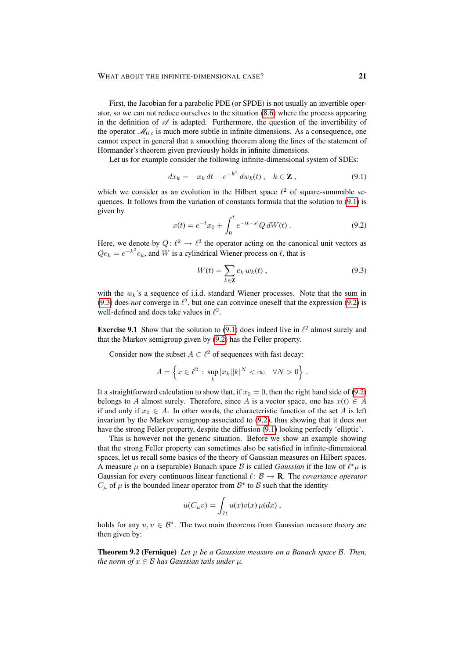First, the Jacobian for a parabolic PDE (or SPDE) is not usually an invertible operator, so we can not reduce ourselves to the situation [\(8.6\)](#page-17-0) where the process appearing in the definition of  $\mathscr A$  is adapted. Furthermore, the question of the invertibility of the operator  $\mathcal{M}_{0,t}$  is much more subtle in infinite dimensions. As a consequence, one cannot expect in general that a smoothing theorem along the lines of the statement of Hörmander's theorem given previously holds in infinite dimensions.

Let us for example consider the following infinite-dimensional system of SDEs:

$$
dx_k = -x_k dt + e^{-k^2} dw_k(t), \quad k \in \mathbb{Z},
$$
\n(9.1)

which we consider as an evolution in the Hilbert space  $\ell^2$  of square-summable sequences. It follows from the variation of constants formula that the solution to [\(9.1\)](#page-20-0) is given by

$$
x(t) = e^{-t}x_0 + \int_0^t e^{-(t-s)}Q \, dW(t) \,. \tag{9.2}
$$

Here, we denote by  $Q: \ell^2 \to \ell^2$  the operator acting on the canonical unit vectors as  $Qe_k = e^{-k^2}e_k$ , and W is a cylindrical Wiener process on  $\ell$ , that is

<span id="page-20-2"></span><span id="page-20-1"></span><span id="page-20-0"></span>
$$
W(t) = \sum_{k \in \mathbb{Z}} e_k w_k(t), \qquad (9.3)
$$

with the  $w_k$ 's a sequence of i.i.d. standard Wiener processes. Note that the sum in [\(9.3\)](#page-20-1) does *not* converge in  $\ell^2$ , but one can convince oneself that the expression [\(9.2\)](#page-20-2) is well-defined and does take values in  $\ell^2$ .

**Exercise 9.1** Show that the solution to [\(9.1\)](#page-20-0) does indeed live in  $\ell^2$  almost surely and that the Markov semigroup given by [\(9.2\)](#page-20-2) has the Feller property.

Consider now the subset  $A \subset \ell^2$  of sequences with fast decay:

$$
A = \left\{ x \in \ell^2 \, : \, \sup_k |x_k| |k|^N < \infty \quad \forall N > 0 \right\} \, .
$$

It a straightforward calculation to show that, if  $x_0 = 0$ , then the right hand side of [\(9.2\)](#page-20-2) belongs to A almost surely. Therefore, since A is a vector space, one has  $x(t) \in A$ if and only if  $x_0 \in A$ . In other words, the characteristic function of the set A is left invariant by the Markov semigroup associated to [\(9.2\)](#page-20-2), thus showing that it does *not* have the strong Feller property, despite the diffusion [\(9.1\)](#page-20-0) looking perfectly 'elliptic'.

This is however not the generic situation. Before we show an example showing that the strong Feller property can sometimes also be satisfied in infinite-dimensional spaces, let us recall some basics of the theory of Gaussian measures on Hilbert spaces. A measure  $\mu$  on a (separable) Banach space B is called *Gaussian* if the law of  $\ell^* \mu$  is Gaussian for every continuous linear functional  $\ell : \mathcal{B} \to \mathbf{R}$ . The *covariance operator*  $C_{\mu}$  of  $\mu$  is the bounded linear operator from  $\mathcal{B}^*$  to  $\mathcal{B}$  such that the identity

$$
u(C_{\mu}v) = \int_{\mathcal{H}} u(x)v(x)\,\mu(dx) ,
$$

holds for any  $u, v \in \mathcal{B}^*$ . The two main theorems from Gaussian measure theory are then given by:

Theorem 9.2 (Fernique) *Let* µ *be a Gaussian measure on a Banach space* B*. Then, the norm of*  $x \in \mathcal{B}$  *has Gaussian tails under*  $\mu$ *.*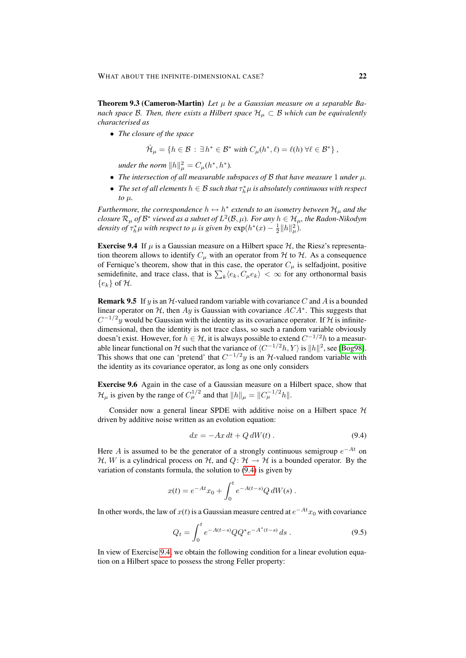<span id="page-21-2"></span>Theorem 9.3 (Cameron-Martin) *Let* µ *be a Gaussian measure on a separable Banach space B. Then, there exists a Hilbert space*  $H<sub>\mu</sub> \subset B$  *which can be equivalently characterised as*

• *The closure of the space*

$$
\hat{\mathcal{H}}_{\mu} = \{ h \in \mathcal{B} : \exists h^* \in \mathcal{B}^* \text{ with } C_{\mu}(h^*, \ell) = \ell(h) \ \forall \ell \in \mathcal{B}^* \},
$$

*under the norm*  $||h||^2_{\mu} = C_{\mu}(h^*, h^*).$ 

- *The intersection of all measurable subspaces of* B *that have measure* 1 *under* µ*.*
- The set of all elements  $h \in \mathcal{B}$  such that  $\tau_h^* \mu$  is absolutely continuous with respect  $to$   $\mu$ .

*Furthermore, the correspondence*  $h \leftrightarrow h^*$  *extends to an isometry between*  $\mathcal{H}_{\mu}$  *and the closure*  $\mathcal{R}_{\mu}$  *of*  $\mathcal{B}^*$  *viewed as a subset of*  $L^2(\mathcal{B}, \mu)$ *. For any*  $h \in \mathcal{H}_{\mu}$ *, the Radon-Nikodym density of*  $\tau_h^*\mu$  *with respect to*  $\mu$  *is given by*  $\exp(h^*(x) - \frac{1}{2}||h||^2_{\mu})$ .

<span id="page-21-1"></span>**Exercise 9.4** If  $\mu$  is a Gaussian measure on a Hilbert space  $\mathcal{H}$ , the Riesz's representation theorem allows to identify  $C_{\mu}$  with an operator from H to H. As a consequence of Fernique's theorem, show that in this case, the operator  $C_{\mu}$  is selfadjoint, positive semidefinite, and trace class, that is  $\sum_k \langle e_k, C_\mu e_k \rangle < \infty$  for any orthonormal basis  ${e_k}$  of  $H$ .

<span id="page-21-3"></span>**Remark 9.5** If y is an  $H$ -valued random variable with covariance C and A is a bounded linear operator on  $H$ , then  $Ay$  is Gaussian with covariance  $ACA^*$ . This suggests that  $C^{-1/2}y$  would be Gaussian with the identity as its covariance operator. If H is infinitedimensional, then the identity is not trace class, so such a random variable obviously doesn't exist. However, for  $h \in \mathcal{H}$ , it is always possible to extend  $C^{-1/2}h$  to a measurable linear functional on H such that the variance of  $\langle C^{-1/2}h, Y \rangle$  is  $||h||^2$ , see [\[Bog98\]](#page-28-11). This shows that one can 'pretend' that  $C^{-1/2}y$  is an  $H$ -valued random variable with the identity as its covariance operator, as long as one only considers

Exercise 9.6 Again in the case of a Gaussian measure on a Hilbert space, show that  $\mathcal{H}_{\mu}$  is given by the range of  $C_{\mu}^{1/2}$  and that  $||h||_{\mu} = ||C_{\mu}^{-1/2}h||$ .

Consider now a general linear SPDE with additive noise on a Hilbert space  $H$ driven by additive noise written as an evolution equation:

<span id="page-21-0"></span>
$$
dx = -Ax dt + Q dW(t).
$$
 (9.4)

Here A is assumed to be the generator of a strongly continuous semigroup  $e^{-At}$  on H, W is a cylindrical process on H, and  $Q: H \rightarrow H$  is a bounded operator. By the variation of constants formula, the solution to [\(9.4\)](#page-21-0) is given by

$$
x(t) = e^{-At}x_0 + \int_0^t e^{-A(t-s)}Q dW(s) .
$$

In other words, the law of  $x(t)$  is a Gaussian measure centred at  $e^{-At}x_0$  with covariance

<span id="page-21-4"></span>
$$
Q_t = \int_0^t e^{-A(t-s)} Q Q^* e^{-A^*(t-s)} ds . \qquad (9.5)
$$

In view of Exercise [9.4,](#page-21-1) we obtain the following condition for a linear evolution equation on a Hilbert space to possess the strong Feller property: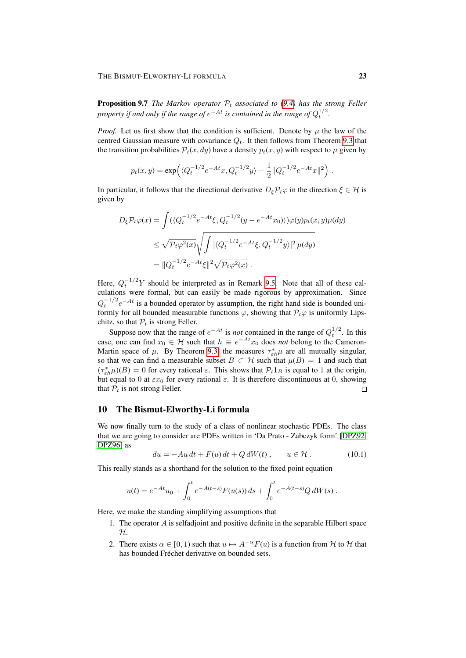#### THE BISMUT-ELWORTHY-LI FORMULA 23

**Proposition 9.7** *The Markov operator*  $P_t$  *associated to [\(9.4\)](#page-21-0) has the strong Feller* property if and only if the range of  $e^{-At}$  is contained in the range of  $Q_t^{1/2}$ .

*Proof.* Let us first show that the condition is sufficient. Denote by  $\mu$  the law of the centred Gaussian measure with covariance  $Q_t$ . It then follows from Theorem [9.3](#page-21-2) that the transition probabilities  $\mathcal{P}_t(x, dy)$  have a density  $p_t(x, y)$  with respect to  $\mu$  given by

$$
p_t(x,y) = \exp\left(\langle Q_t^{-1/2}e^{-At}x, Q_t^{-1/2}y \rangle - \frac{1}{2} \|Q_t^{-1/2}e^{-At}x\|^2\right).
$$

In particular, it follows that the directional derivative  $D_{\xi}P_t\varphi$  in the direction  $\xi \in \mathcal{H}$  is given by

$$
D_{\xi} \mathcal{P}_{t} \varphi(x) = \int \left( \langle Q_t^{-1/2} e^{-At} \xi, Q_t^{-1/2} (y - e^{-At} x_0) \rangle \right) \varphi(y) p_t(x, y) \mu(dy)
$$
  

$$
\leq \sqrt{\mathcal{P}_t \varphi^2(x)} \sqrt{\int |\langle Q_t^{-1/2} e^{-At} \xi, Q_t^{-1/2} y \rangle|^2 \mu(dy)}
$$
  

$$
= ||Q_t^{-1/2} e^{-At} \xi||^2 \sqrt{\mathcal{P}_t \varphi^2(x)}.
$$

Here,  $Q_t^{-1/2}Y$  should be interpreted as in Remark [9.5.](#page-21-3) Note that all of these calculations were formal, but can easily be made rigorous by approximation. Since  $Q_t^{-1/2}e^{-At}$  is a bounded operator by assumption, the right hand side is bounded uniformly for all bounded measurable functions  $\varphi$ , showing that  $\mathcal{P}_t\varphi$  is uniformly Lipschitz, so that  $P_t$  is strong Feller.

Suppose now that the range of  $e^{-At}$  is *not* contained in the range of  $Q_t^{1/2}$ . In this case, one can find  $x_0 \in \mathcal{H}$  such that  $h \equiv e^{-At}x_0$  does *not* belong to the Cameron-Martin space of  $\mu$ . By Theorem [9.3,](#page-21-2) the measures  $\tau_{\varepsilon h}^* \mu$  are all mutually singular, so that we can find a measurable subset  $B \subset \mathcal{H}$  such that  $\mu(B) = 1$  and such that  $(\tau_{\varepsilon h}^* \mu)(B) = 0$  for every rational  $\varepsilon$ . This shows that  $\mathcal{P}_t \mathbf{1}_B$  is equal to 1 at the origin, but equal to 0 at  $\epsilon x_0$  for every rational  $\epsilon$ . It is therefore discontinuous at 0, showing that  $P_t$  is not strong Feller.  $\Box$ 

#### <span id="page-22-0"></span>10 The Bismut-Elworthy-Li formula

We now finally turn to the study of a class of nonlinear stochastic PDEs. The class that we are going to consider are PDEs written in 'Da Prato - Zabczyk form' [\[DPZ92,](#page-28-12) [DPZ96\]](#page-28-13) as

<span id="page-22-1"></span>
$$
du = -Au dt + F(u) dt + Q dW(t), \qquad u \in \mathcal{H}.
$$
 (10.1)

This really stands as a shorthand for the solution to the fixed point equation

$$
u(t) = e^{-At}u_0 + \int_0^t e^{-A(t-s)} F(u(s)) ds + \int_0^t e^{-A(t-s)} Q dW(s) .
$$

Here, we make the standing simplifying assumptions that

- 1. The operator A is selfadjoint and positive definite in the separable Hilbert space  $\mathcal{H}.$
- 2. There exists  $\alpha \in [0, 1)$  such that  $u \mapsto A^{-\alpha}F(u)$  is a function from H to H that has bounded Fréchet derivative on bounded sets.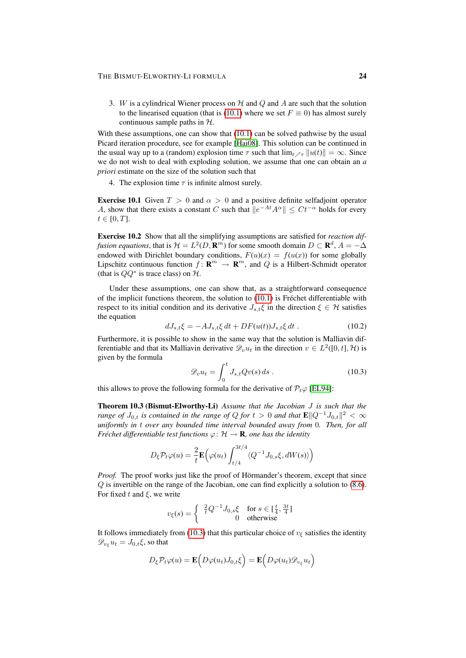3. W is a cylindrical Wiener process on  $H$  and  $Q$  and  $A$  are such that the solution to the linearised equation (that is [\(10.1\)](#page-22-1) where we set  $F \equiv 0$ ) has almost surely continuous sample paths in  $H$ .

With these assumptions, one can show that  $(10.1)$  can be solved pathwise by the usual Picard iteration procedure, see for example [\[Hai08\]](#page-28-14). This solution can be continued in the usual way up to a (random) explosion time  $\tau$  such that  $\lim_{t \to \tau} ||u(t)|| = \infty$ . Since we do not wish to deal with exploding solution, we assume that one can obtain an *a priori* estimate on the size of the solution such that

4. The explosion time  $\tau$  is infinite almost surely.

**Exercise 10.1** Given  $T > 0$  and  $\alpha > 0$  and a positive definite selfadjoint operator A, show that there exists a constant C such that  $||e^{-At}A^{\alpha}|| \leq Ct^{-\alpha}$  holds for every  $t \in [0, T]$ .

Exercise 10.2 Show that all the simplifying assumptions are satisfied for *reaction diffusion equations*, that is  $\mathcal{H} = L^2(D, \mathbf{R}^m)$  for some smooth domain  $D \subset \mathbf{R}^d$ ,  $A = -\Delta$ endowed with Dirichlet boundary conditions,  $F(u)(x) = f(u(x))$  for some globally Lipschitz continuous function  $f: \mathbf{R}^m \to \mathbf{R}^m$ , and Q is a Hilbert-Schmidt operator (that is  $QQ^*$  is trace class) on  $H$ .

Under these assumptions, one can show that, as a straightforward consequence of the implicit functions theorem, the solution to  $(10.1)$  is Fréchet differentiable with respect to its initial condition and its derivative  $J_{s,t}\xi$  in the direction  $\xi \in \mathcal{H}$  satisfies the equation

$$
dJ_{s,t}\xi = -AJ_{s,t}\xi dt + DF(u(t))J_{s,t}\xi dt .
$$
 (10.2)

Furthermore, it is possible to show in the same way that the solution is Malliavin differentiable and that its Malliavin derivative  $\mathscr{D}_{v}u_{t}$  in the direction  $v \in L^{2}([0,t],\mathcal{H})$  is given by the formula

<span id="page-23-2"></span><span id="page-23-0"></span>
$$
\mathscr{D}_{v}u_{t} = \int_{0}^{t} J_{s,t}Qv(s) ds . \qquad (10.3)
$$

<span id="page-23-1"></span>this allows to prove the following formula for the derivative of  $\mathcal{P}_t\varphi$  [\[EL94\]](#page-28-15):

Theorem 10.3 (Bismut-Elworthy-Li) *Assume that the Jacobian* J *is such that the range of*  $J_{0,t}$  *is contained in the range of Q for t* > 0 *and that*  $\mathbf{E} \| Q^{-1} J_{0,t} \|^2 < \infty$ *uniformly in* t *over any bounded time interval bounded away from* 0*. Then, for all Fréchet differentiable test functions*  $\varphi$ :  $\mathcal{H} \to \mathbf{R}$ *, one has the identity* 

$$
D_{\xi} \mathcal{P}_{t} \varphi(u) = \frac{2}{t} \mathbf{E} \Big( \varphi(u_{t}) \int_{t/4}^{3t/4} \langle Q^{-1} J_{0,s} \xi, dW(s) \rangle \Big)
$$

*Proof.* The proof works just like the proof of Hörmander's theorem, except that since Q is invertible on the range of the Jacobian, one can find explicitly a solution to [\(8.6\)](#page-17-0). For fixed t and  $\xi$ , we write

$$
v_{\xi}(s) = \begin{cases} \frac{2}{t}Q^{-1}J_{0,s}\xi & \text{for } s \in [\frac{t}{4},\frac{3t}{4}]\\ 0 & \text{otherwise} \end{cases}
$$

It follows immediately from [\(10.3\)](#page-23-0) that this particular choice of  $v_{\xi}$  satisfies the identity  $\mathscr{D}_{v_{\varepsilon}} u_t = J_{0,t} \xi$ , so that

$$
D_{\xi} \mathcal{P}_{t} \varphi(u) = \mathbf{E} \Big( D \varphi(u_{t}) J_{0,t} \xi \Big) = \mathbf{E} \Big( D \varphi(u_{t}) \mathcal{D}_{v_{\xi}} u_{t} \Big)
$$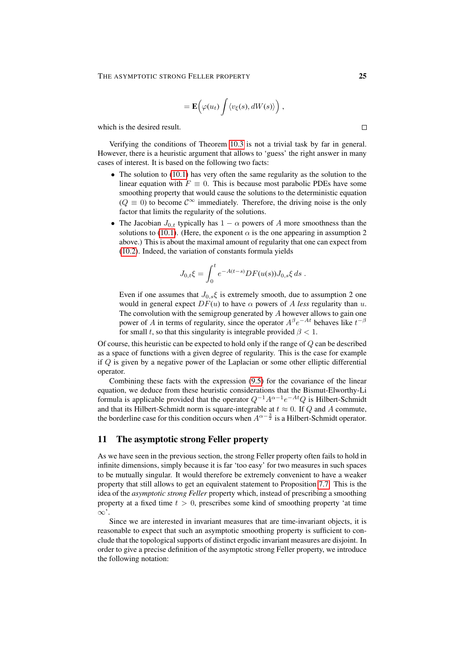$$
= \mathbf{E}\Big(\varphi(u_t)\int \langle v_{\xi}(s), dW(s)\rangle\Big)\;,
$$

which is the desired result.

Verifying the conditions of Theorem [10.3](#page-23-1) is not a trivial task by far in general. However, there is a heuristic argument that allows to 'guess' the right answer in many cases of interest. It is based on the following two facts:

- The solution to [\(10.1\)](#page-22-1) has very often the same regularity as the solution to the linear equation with  $F \equiv 0$ . This is because most parabolic PDEs have some smoothing property that would cause the solutions to the deterministic equation  $(Q \equiv 0)$  to become  $C^{\infty}$  immediately. Therefore, the driving noise is the only factor that limits the regularity of the solutions.
- The Jacobian  $J_{0,t}$  typically has  $1 \alpha$  powers of A more smoothness than the solutions to [\(10.1\)](#page-22-1). (Here, the exponent  $\alpha$  is the one appearing in assumption 2 above.) This is about the maximal amount of regularity that one can expect from [\(10.2\)](#page-23-2). Indeed, the variation of constants formula yields

$$
J_{0,t}\xi = \int_0^t e^{-A(t-s)} DF(u(s))J_{0,s}\xi ds .
$$

Even if one assumes that  $J_{0,s}\xi$  is extremely smooth, due to assumption 2 one would in general expect  $DF(u)$  to have  $\alpha$  powers of A less regularity than u. The convolution with the semigroup generated by  $A$  however allows to gain one power of A in terms of regularity, since the operator  $A^{\beta}e^{-At}$  behaves like  $t^{-\beta}$ for small t, so that this singularity is integrable provided  $\beta < 1$ .

Of course, this heuristic can be expected to hold only if the range of  $Q$  can be described as a space of functions with a given degree of regularity. This is the case for example if Q is given by a negative power of the Laplacian or some other elliptic differential operator.

Combining these facts with the expression [\(9.5\)](#page-21-4) for the covariance of the linear equation, we deduce from these heuristic considerations that the Bismut-Elworthy-Li formula is applicable provided that the operator  $Q^{-1}A^{\alpha-1}e^{-At}Q$  is Hilbert-Schmidt and that its Hilbert-Schmidt norm is square-integrable at  $t \approx 0$ . If Q and A commute, the borderline case for this condition occurs when  $A^{\alpha - \frac{3}{2}}$  is a Hilbert-Schmidt operator.

# <span id="page-24-0"></span>11 The asymptotic strong Feller property

As we have seen in the previous section, the strong Feller property often fails to hold in infinite dimensions, simply because it is far 'too easy' for two measures in such spaces to be mutually singular. It would therefore be extremely convenient to have a weaker property that still allows to get an equivalent statement to Proposition [7.7.](#page-14-1) This is the idea of the *asymptotic strong Feller* property which, instead of prescribing a smoothing property at a fixed time  $t > 0$ , prescribes some kind of smoothing property 'at time  $\infty$ .

Since we are interested in invariant measures that are time-invariant objects, it is reasonable to expect that such an asymptotic smoothing property is sufficient to conclude that the topological supports of distinct ergodic invariant measures are disjoint. In order to give a precise definition of the asymptotic strong Feller property, we introduce the following notation:

 $\Box$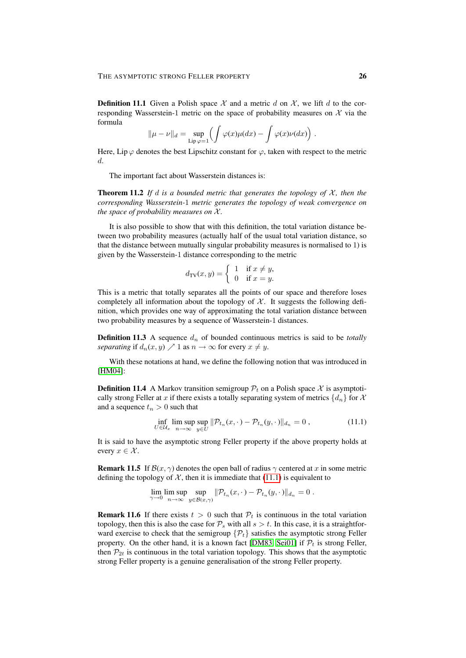**Definition 11.1** Given a Polish space X and a metric d on X, we lift d to the corresponding Wasserstein-1 metric on the space of probability measures on  $X$  via the formula

$$
\|\mu - \nu\|_d = \sup_{\text{Lip }\varphi = 1} \left( \int \varphi(x) \mu(dx) - \int \varphi(x) \nu(dx) \right).
$$

Here, Lip  $\varphi$  denotes the best Lipschitz constant for  $\varphi$ , taken with respect to the metric d.

The important fact about Wasserstein distances is:

**Theorem 11.2** If d is a bounded metric that generates the topology of  $X$ , then the *corresponding Wasserstein-*1 *metric generates the topology of weak convergence on the space of probability measures on*  $X$ *.* 

It is also possible to show that with this definition, the total variation distance between two probability measures (actually half of the usual total variation distance, so that the distance between mutually singular probability measures is normalised to 1) is given by the Wasserstein-1 distance corresponding to the metric

$$
d_{\mathrm{TV}}(x,y) = \begin{cases} 1 & \text{if } x \neq y, \\ 0 & \text{if } x = y. \end{cases}
$$

This is a metric that totally separates all the points of our space and therefore loses completely all information about the topology of  $\mathcal{X}$ . It suggests the following definition, which provides one way of approximating the total variation distance between two probability measures by a sequence of Wasserstein-1 distances.

**Definition 11.3** A sequence  $d_n$  of bounded continuous metrics is said to be *totally separating* if  $d_n(x, y) \nearrow 1$  as  $n \to \infty$  for every  $x \neq y$ .

With these notations at hand, we define the following notion that was introduced in [\[HM04\]](#page-28-16):

**Definition 11.4** A Markov transition semigroup  $\mathcal{P}_t$  on a Polish space X is asymptotically strong Feller at x if there exists a totally separating system of metrics  $\{d_n\}$  for X and a sequence  $t_n > 0$  such that

<span id="page-25-0"></span>
$$
\inf_{U \in \mathcal{U}_x} \limsup_{n \to \infty} \sup_{y \in U} \|\mathcal{P}_{t_n}(x, \cdot) - \mathcal{P}_{t_n}(y, \cdot)\|_{d_n} = 0,
$$
\n(11.1)

It is said to have the asymptotic strong Feller property if the above property holds at every  $x \in \mathcal{X}$ .

**Remark 11.5** If  $\mathcal{B}(x, \gamma)$  denotes the open ball of radius  $\gamma$  centered at x in some metric defining the topology of  $\mathcal{X}$ , then it is immediate that [\(11.1\)](#page-25-0) is equivalent to

$$
\lim_{\gamma \to 0} \limsup_{n \to \infty} \sup_{y \in \mathcal{B}(x,\gamma)} ||\mathcal{P}_{t_n}(x,\cdot) - \mathcal{P}_{t_n}(y,\cdot)||_{d_n} = 0.
$$

**Remark 11.6** If there exists  $t > 0$  such that  $\mathcal{P}_t$  is continuous in the total variation topology, then this is also the case for  $P_s$  with all  $s > t$ . In this case, it is a straightforward exercise to check that the semigroup  $\{\mathcal{P}_t\}$  satisfies the asymptotic strong Feller property. On the other hand, it is a known fact [\[DM83,](#page-28-17) [Sei01\]](#page-29-10) if  $\mathcal{P}_t$  is strong Feller, then  $\mathcal{P}_{2t}$  is continuous in the total variation topology. This shows that the asymptotic strong Feller property is a genuine generalisation of the strong Feller property.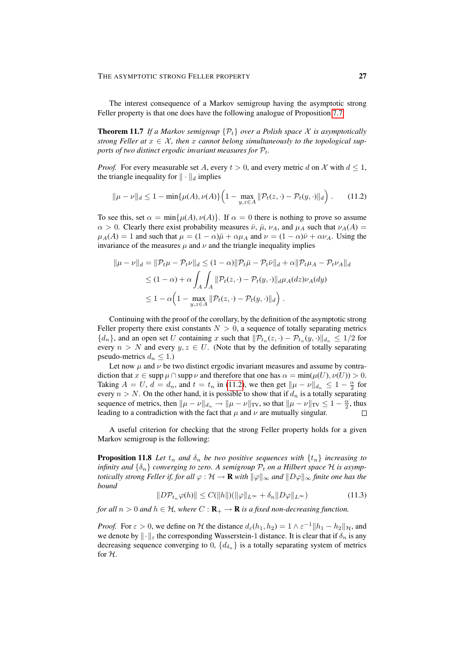The interest consequence of a Markov semigroup having the asymptotic strong Feller property is that one does have the following analogue of Proposition [7.7:](#page-14-1)

**Theorem 11.7** *If a Markov semigroup*  $\{\mathcal{P}_t\}$  *over a Polish space* X *is asymptotically strong Feller at*  $x \in \mathcal{X}$ *, then* x *cannot belong simultaneously to the topological supports of two distinct ergodic invariant measures for*  $P_t$ .

*Proof.* For every measurable set A, every  $t > 0$ , and every metric d on X with  $d \le 1$ , the triangle inequality for  $\|\cdot\|_d$  implies

<span id="page-26-0"></span>
$$
\|\mu - \nu\|_d \le 1 - \min\{\mu(A), \nu(A)\} \Big(1 - \max_{y,z \in A} \|\mathcal{P}_t(z, \cdot) - \mathcal{P}_t(y, \cdot)\|_d\Big). \tag{11.2}
$$

To see this, set  $\alpha = \min\{\mu(A), \nu(A)\}\$ . If  $\alpha = 0$  there is nothing to prove so assume  $\alpha > 0$ . Clearly there exist probability measures  $\bar{\nu}$ ,  $\bar{\mu}$ ,  $\nu_A$ , and  $\mu_A$  such that  $\nu_A(A)$  $\mu_A(A) = 1$  and such that  $\mu = (1 - \alpha)\bar{\mu} + \alpha\mu_A$  and  $\nu = (1 - \alpha)\bar{\nu} + \alpha\nu_A$ . Using the invariance of the measures  $\mu$  and  $\nu$  and the triangle inequality implies

$$
\begin{aligned}\n\|\mu - \nu\|_d &= \|\mathcal{P}_t \mu - \mathcal{P}_t \nu\|_d \le (1 - \alpha) \|\mathcal{P}_t \bar{\mu} - \mathcal{P}_t \bar{\nu}\|_d + \alpha \|\mathcal{P}_t \mu_A - \mathcal{P}_t \nu_A\|_d \\
&\le (1 - \alpha) + \alpha \int_A \int_A \|\mathcal{P}_t(z, \cdot) - \mathcal{P}_t(y, \cdot)\|_d \mu_A(dz) \nu_A(dy) \\
&\le 1 - \alpha \Big( 1 - \max_{y, z \in A} \|\mathcal{P}_t(z, \cdot) - \mathcal{P}_t(y, \cdot)\|_d \Big) \ .\n\end{aligned}
$$

Continuing with the proof of the corollary, by the definition of the asymptotic strong Feller property there exist constants  $N > 0$ , a sequence of totally separating metrics  $\{d_n\}$ , and an open set U containing x such that  $\|\mathcal{P}_{t_n}(z, \cdot) - \mathcal{P}_{t_n}(y, \cdot)\|_{d_n} \leq 1/2$  for every  $n > N$  and every  $y, z \in U$ . (Note that by the definition of totally separating pseudo-metrics  $d_n \leq 1$ .)

Let now  $\mu$  and  $\nu$  be two distinct ergodic invariant measures and assume by contradiction that  $x \in \text{supp }\mu \cap \text{supp }\nu$  and therefore that one has  $\alpha = \min(\mu(U), \nu(U)) > 0$ . Taking  $A = U$ ,  $d = d_n$ , and  $t = t_n$  in [\(11.2\)](#page-26-0), we then get  $||\mu - \nu||_{d_n} \leq 1 - \frac{\alpha}{2}$  for every  $n > N$ . On the other hand, it is possible to show that if  $d_n$  is a totally separating sequence of metrics, then  $\|\mu - \nu\|_{d_n} \to \|\mu - \nu\|_{TV}$ , so that  $\|\mu - \nu\|_{TV} \leq 1 - \frac{\alpha}{2}$ , thus leading to a contradiction with the fact that  $\mu$  and  $\nu$  are mutually singular.

A useful criterion for checking that the strong Feller property holds for a given Markov semigroup is the following:

**Proposition 11.8** Let  $t_n$  and  $\delta_n$  be two positive sequences with  $\{t_n\}$  increasing to *infinity and*  $\{\delta_n\}$  *converging to zero. A semigroup*  $\mathcal{P}_t$  *on a Hilbert space*  $\mathcal{H}$  *is asymptotically strong Feller if, for all*  $\varphi : \mathcal{H} \to \mathbf{R}$  *with*  $\|\varphi\|_{\infty}$  *and*  $\|D\varphi\|_{\infty}$  *finite one has the bound*

<span id="page-26-1"></span>
$$
||D\mathcal{P}_{t_n}\varphi(h)|| \le C(||h||)(||\varphi||_{L^{\infty}} + \delta_n ||D\varphi||_{L^{\infty}})
$$
\n(11.3)

*for all*  $n > 0$  *and*  $h \in H$ *, where*  $C : \mathbf{R}_{+} \to \mathbf{R}$  *is a fixed non-decreasing function.* 

*Proof.* For  $\varepsilon > 0$ , we define on H the distance  $d_{\varepsilon}(h_1, h_2) = 1 \wedge \varepsilon^{-1} ||h_1 - h_2||_{\mathcal{H}}$ , and we denote by  $\|\cdot\|_{\varepsilon}$  the corresponding Wasserstein-1 distance. It is clear that if  $\delta_n$  is any decreasing sequence converging to 0,  $\{d_{\delta_n}\}\$ is a totally separating system of metrics for H.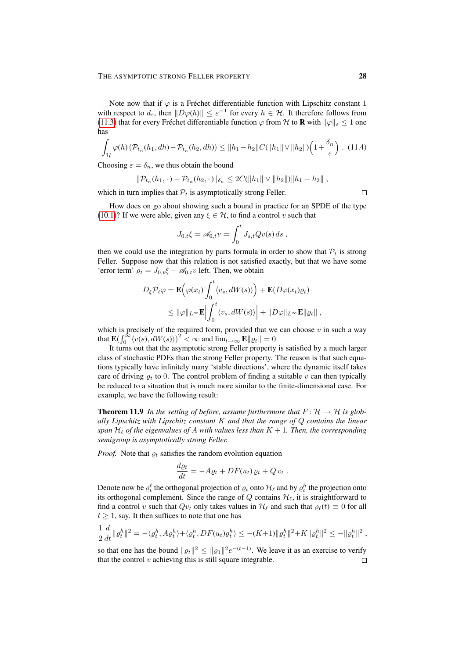Note now that if  $\varphi$  is a Fréchet differentiable function with Lipschitz constant 1 with respect to  $d_{\varepsilon}$ , then  $||D\varphi(h)|| \leq \varepsilon^{-1}$  for every  $h \in \mathcal{H}$ . It therefore follows from [\(11.3\)](#page-26-1) that for every Fréchet differentiable function  $\varphi$  from H to **R** with  $\|\varphi\|_{\varepsilon} \leq 1$  one has

$$
\int_{\mathcal{H}} \varphi(h) \left( \mathcal{P}_{t_n}(h_1, dh) - \mathcal{P}_{t_n}(h_2, dh) \right) \le ||h_1 - h_2||C(||h_1|| \vee ||h_2||) \left( 1 + \frac{\delta_n}{\varepsilon} \right). \tag{11.4}
$$

Choosing  $\varepsilon = \delta_n$ , we thus obtain the bound

$$
\|\mathcal{P}_{t_n}(h_1,\cdot)-\mathcal{P}_{t_n}(h_2,\cdot)\|_{\delta_n}\leq 2C(\|h_1\|\vee\|h_2\|)\|h_1-h_2\|,
$$

which in turn implies that  $P_t$  is asymptotically strong Feller.

How does on go about showing such a bound in practice for an SPDE of the type [\(10.1\)](#page-22-1)? If we were able, given any  $\xi \in \mathcal{H}$ , to find a control v such that

$$
J_{0,t}\xi = \mathscr{A}_{0,t}v = \int_0^t J_{s,t}Qv(s) \, ds \,,
$$

then we could use the integration by parts formula in order to show that  $P_t$  is strong Feller. Suppose now that this relation is not satisfied exactly, but that we have some 'error term'  $\rho_t = J_{0,t} \xi - \mathcal{A}_{0,t} v$  left. Then, we obtain

$$
D_{\xi} \mathcal{P}_{t} \varphi = \mathbf{E} \Big( \varphi(x_{t}) \int_{0}^{t} \langle v_{s}, dW(s) \rangle \Big) + \mathbf{E} (D \varphi(x_{t}) \varrho_{t})
$$
  

$$
\leq ||\varphi||_{L^{\infty}} \mathbf{E} \Big| \int_{0}^{t} \langle v_{s}, dW(s) \rangle \Big| + ||D \varphi||_{L^{\infty}} \mathbf{E} ||\varrho_{t}||,
$$

which is precisely of the required form, provided that we can choose  $v$  in such a way that  $\mathbf{E}(\int_0^\infty \langle v(s), dW(s) \rangle)^2 < \infty$  and  $\lim_{t \to \infty} \mathbf{E} ||\varrho_t|| = 0$ .

It turns out that the asymptotic strong Feller property is satisfied by a much larger class of stochastic PDEs than the strong Feller property. The reason is that such equations typically have infinitely many 'stable directions', where the dynamic itself takes care of driving  $\varrho_t$  to 0. The control problem of finding a suitable v can then typically be reduced to a situation that is much more similar to the finite-dimensional case. For example, we have the following result:

**Theorem 11.9** In the setting of before, assume furthermore that  $F: \mathcal{H} \to \mathcal{H}$  is glob*ally Lipschitz with Lipschitz constant* K *and that the range of* Q *contains the linear span*  $\mathcal{H}_{\ell}$  *of the eigenvalues of A with values less than*  $K + 1$ *. Then, the corresponding semigroup is asymptotically strong Feller.*

*Proof.* Note that  $\varrho_t$  satisfies the random evolution equation

$$
\frac{d\varrho_t}{dt} = -A\varrho_t + DF(u_t)\,\varrho_t + Q\,v_t.
$$

Denote now be  $\varrho_t^{\ell}$  the orthogonal projection of  $\varrho_t$  onto  $\mathcal{H}_{\ell}$  and by  $\varrho_t^h$  the projection onto its orthogonal complement. Since the range of  $Q$  contains  $\mathcal{H}_{\ell}$ , it is straightforward to find a control v such that  $Qu_t$  only takes values in  $\mathcal{H}_\ell$  and such that  $\varrho_\ell(t) \equiv 0$  for all  $t \geq 1$ , say. It then suffices to note that one has

$$
\frac{1}{2}\frac{d}{dt}\|\varrho_t^h\|^2 = -\langle \varrho_t^h, A\varrho_t^h \rangle + \langle \varrho_t^h, DF(u_t)\varrho_t^h \rangle \le -(K+1) \|\varrho_t^h\|^2 + K \|\varrho_t^h\|^2 \le -\|\varrho_t^h\|^2,
$$

so that one has the bound  $||\varrho_t||^2 \le ||\varrho_1||^2 e^{-(t-1)}$ . We leave it as an exercise to verify that the control  $v$  achieving this is still square integrable.  $\Box$ 

 $\Box$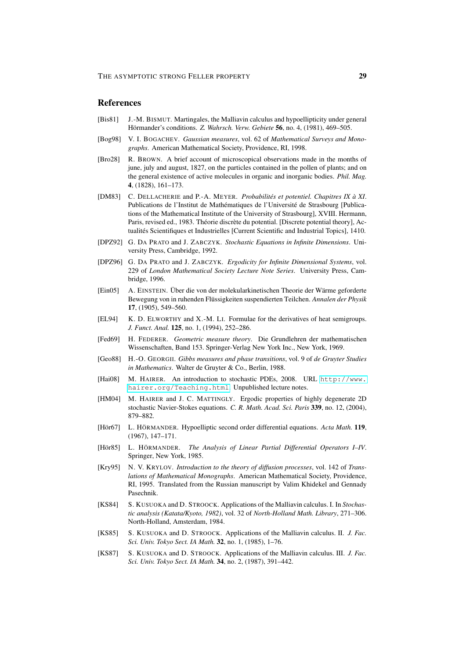### **References**

- <span id="page-28-7"></span>[Bis81] J.-M. BISMUT. Martingales, the Malliavin calculus and hypoellipticity under general Hörmander's conditions. Z. Wahrsch. Verw. Gebiete 56, no. 4, (1981), 469-505.
- <span id="page-28-11"></span>[Bog98] V. I. BOGACHEV. *Gaussian measures*, vol. 62 of *Mathematical Surveys and Monographs*. American Mathematical Society, Providence, RI, 1998.
- <span id="page-28-0"></span>[Bro28] R. BROWN. A brief account of microscopical observations made in the months of june, july and august, 1827, on the particles contained in the pollen of plants; and on the general existence of active molecules in organic and inorganic bodies. *Phil. Mag.* 4, (1828), 161–173.
- <span id="page-28-17"></span>[DM83] C. DELLACHERIE and P.-A. MEYER. *Probabilites et potentiel. Chapitres IX ´ a XI `* . Publications de l'Institut de Mathématiques de l'Université de Strasbourg [Publications of the Mathematical Institute of the University of Strasbourg], XVIII. Hermann, Paris, revised ed., 1983. Théorie discrète du potential. [Discrete potential theory], Actualités Scientifiques et Industrielles [Current Scientific and Industrial Topics], 1410.
- <span id="page-28-12"></span>[DPZ92] G. DA PRATO and J. ZABCZYK. *Stochastic Equations in Infinite Dimensions*. University Press, Cambridge, 1992.
- <span id="page-28-13"></span>[DPZ96] G. DA PRATO and J. ZABCZYK. *Ergodicity for Infinite Dimensional Systems*, vol. 229 of *London Mathematical Society Lecture Note Series*. University Press, Cambridge, 1996.
- <span id="page-28-1"></span>[Ein05] A. EINSTEIN. Über die von der molekularkinetischen Theorie der Wärme geforderte Bewegung von in ruhenden Flüssigkeiten suspendierten Teilchen. Annalen der Physik 17, (1905), 549–560.
- <span id="page-28-15"></span>[EL94] K. D. ELWORTHY and X.-M. LI. Formulae for the derivatives of heat semigroups. *J. Funct. Anal.* 125, no. 1, (1994), 252–286.
- <span id="page-28-2"></span>[Fed69] H. FEDERER. *Geometric measure theory*. Die Grundlehren der mathematischen Wissenschaften, Band 153. Springer-Verlag New York Inc., New York, 1969.
- <span id="page-28-3"></span>[Geo88] H.-O. GEORGII. *Gibbs measures and phase transitions*, vol. 9 of *de Gruyter Studies in Mathematics*. Walter de Gruyter & Co., Berlin, 1988.
- <span id="page-28-14"></span>[Hai08] M. HAIRER. An introduction to stochastic PDEs, 2008. URL [http://www.](http://www.hairer.org/Teaching.html) [hairer.org/Teaching.html](http://www.hairer.org/Teaching.html). Unpublished lecture notes.
- <span id="page-28-16"></span>[HM04] M. HAIRER and J. C. MATTINGLY. Ergodic properties of highly degenerate 2D stochastic Navier-Stokes equations. *C. R. Math. Acad. Sci. Paris* 339, no. 12, (2004), 879–882.
- <span id="page-28-5"></span>[Hör67] L. HÖRMANDER. Hypoelliptic second order differential equations. Acta Math. 119, (1967), 147–171.
- <span id="page-28-6"></span>[Hör85] L. HÖRMANDER. The Analysis of Linear Partial Differential Operators I-IV. Springer, New York, 1985.
- <span id="page-28-4"></span>[Kry95] N. V. KRYLOV. *Introduction to the theory of diffusion processes*, vol. 142 of *Translations of Mathematical Monographs*. American Mathematical Society, Providence, RI, 1995. Translated from the Russian manuscript by Valim Khidekel and Gennady Pasechnik.
- <span id="page-28-8"></span>[KS84] S. KUSUOKA and D. STROOCK. Applications of the Malliavin calculus. I. In *Stochastic analysis (Katata/Kyoto, 1982)*, vol. 32 of *North-Holland Math. Library*, 271–306. North-Holland, Amsterdam, 1984.
- <span id="page-28-9"></span>[KS85] S. KUSUOKA and D. STROOCK. Applications of the Malliavin calculus. II. *J. Fac. Sci. Univ. Tokyo Sect. IA Math.* 32, no. 1, (1985), 1–76.
- <span id="page-28-10"></span>[KS87] S. KUSUOKA and D. STROOCK. Applications of the Malliavin calculus. III. *J. Fac. Sci. Univ. Tokyo Sect. IA Math.* 34, no. 2, (1987), 391–442.